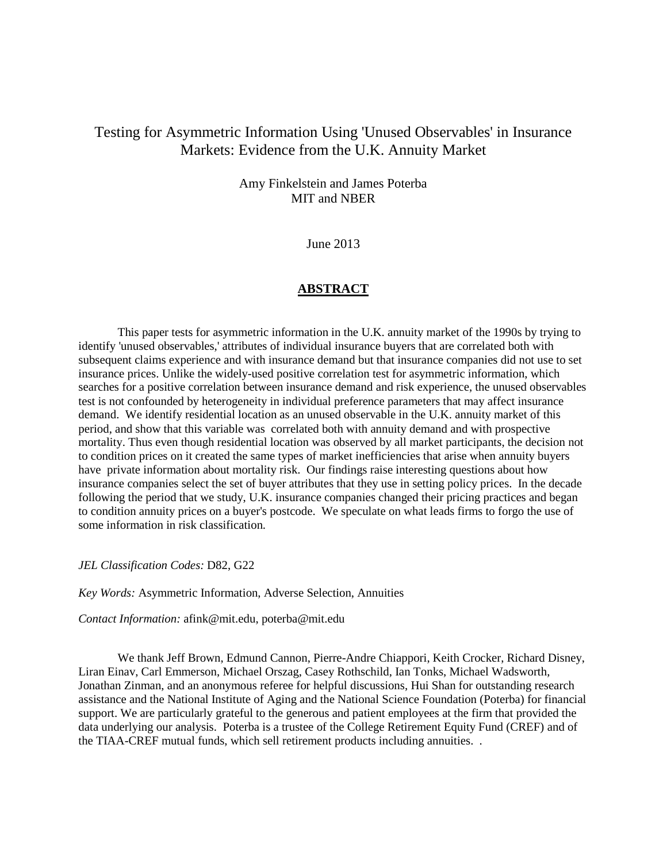# Testing for Asymmetric Information Using 'Unused Observables' in Insurance Markets: Evidence from the U.K. Annuity Market

Amy Finkelstein and James Poterba MIT and NBER

June 2013

## **ABSTRACT**

This paper tests for asymmetric information in the U.K. annuity market of the 1990s by trying to identify 'unused observables,' attributes of individual insurance buyers that are correlated both with subsequent claims experience and with insurance demand but that insurance companies did not use to set insurance prices. Unlike the widely-used positive correlation test for asymmetric information, which searches for a positive correlation between insurance demand and risk experience, the unused observables test is not confounded by heterogeneity in individual preference parameters that may affect insurance demand. We identify residential location as an unused observable in the U.K. annuity market of this period, and show that this variable was correlated both with annuity demand and with prospective mortality. Thus even though residential location was observed by all market participants, the decision not to condition prices on it created the same types of market inefficiencies that arise when annuity buyers have private information about mortality risk. Our findings raise interesting questions about how insurance companies select the set of buyer attributes that they use in setting policy prices. In the decade following the period that we study, U.K. insurance companies changed their pricing practices and began to condition annuity prices on a buyer's postcode. We speculate on what leads firms to forgo the use of some information in risk classification.

*JEL Classification Codes:* D82, G22

*Key Words:* Asymmetric Information, Adverse Selection, Annuities

*Contact Information:* afink@mit.edu, poterba@mit.edu

We thank Jeff Brown, Edmund Cannon, Pierre-Andre Chiappori, Keith Crocker, Richard Disney, Liran Einav, Carl Emmerson, Michael Orszag, Casey Rothschild, Ian Tonks, Michael Wadsworth, Jonathan Zinman, and an anonymous referee for helpful discussions, Hui Shan for outstanding research assistance and the National Institute of Aging and the National Science Foundation (Poterba) for financial support. We are particularly grateful to the generous and patient employees at the firm that provided the data underlying our analysis. Poterba is a trustee of the College Retirement Equity Fund (CREF) and of the TIAA-CREF mutual funds, which sell retirement products including annuities. .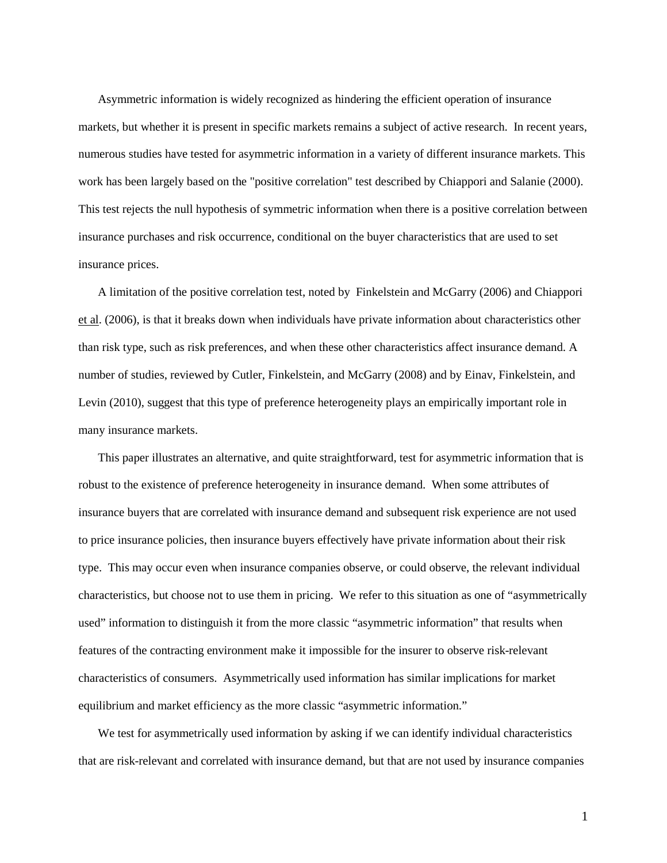Asymmetric information is widely recognized as hindering the efficient operation of insurance markets, but whether it is present in specific markets remains a subject of active research. In recent years, numerous studies have tested for asymmetric information in a variety of different insurance markets. This work has been largely based on the "positive correlation" test described by Chiappori and Salanie (2000). This test rejects the null hypothesis of symmetric information when there is a positive correlation between insurance purchases and risk occurrence, conditional on the buyer characteristics that are used to set insurance prices.

A limitation of the positive correlation test, noted by Finkelstein and McGarry (2006) and Chiappori et al. (2006), is that it breaks down when individuals have private information about characteristics other than risk type, such as risk preferences, and when these other characteristics affect insurance demand. A number of studies, reviewed by Cutler, Finkelstein, and McGarry (2008) and by Einav, Finkelstein, and Levin (2010), suggest that this type of preference heterogeneity plays an empirically important role in many insurance markets.

This paper illustrates an alternative, and quite straightforward, test for asymmetric information that is robust to the existence of preference heterogeneity in insurance demand. When some attributes of insurance buyers that are correlated with insurance demand and subsequent risk experience are not used to price insurance policies, then insurance buyers effectively have private information about their risk type. This may occur even when insurance companies observe, or could observe, the relevant individual characteristics, but choose not to use them in pricing. We refer to this situation as one of "asymmetrically used" information to distinguish it from the more classic "asymmetric information" that results when features of the contracting environment make it impossible for the insurer to observe risk-relevant characteristics of consumers. Asymmetrically used information has similar implications for market equilibrium and market efficiency as the more classic "asymmetric information."

We test for asymmetrically used information by asking if we can identify individual characteristics that are risk-relevant and correlated with insurance demand, but that are not used by insurance companies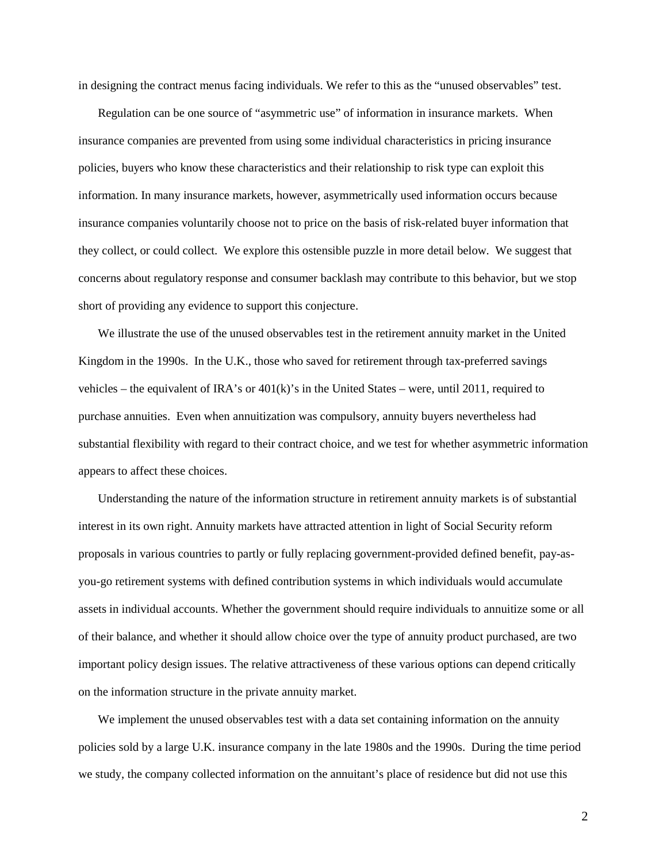in designing the contract menus facing individuals. We refer to this as the "unused observables" test.

Regulation can be one source of "asymmetric use" of information in insurance markets. When insurance companies are prevented from using some individual characteristics in pricing insurance policies, buyers who know these characteristics and their relationship to risk type can exploit this information. In many insurance markets, however, asymmetrically used information occurs because insurance companies voluntarily choose not to price on the basis of risk-related buyer information that they collect, or could collect. We explore this ostensible puzzle in more detail below. We suggest that concerns about regulatory response and consumer backlash may contribute to this behavior, but we stop short of providing any evidence to support this conjecture.

We illustrate the use of the unused observables test in the retirement annuity market in the United Kingdom in the 1990s. In the U.K., those who saved for retirement through tax-preferred savings vehicles – the equivalent of IRA's or  $401(k)$ 's in the United States – were, until 2011, required to purchase annuities. Even when annuitization was compulsory, annuity buyers nevertheless had substantial flexibility with regard to their contract choice, and we test for whether asymmetric information appears to affect these choices.

Understanding the nature of the information structure in retirement annuity markets is of substantial interest in its own right. Annuity markets have attracted attention in light of Social Security reform proposals in various countries to partly or fully replacing government-provided defined benefit, pay-asyou-go retirement systems with defined contribution systems in which individuals would accumulate assets in individual accounts. Whether the government should require individuals to annuitize some or all of their balance, and whether it should allow choice over the type of annuity product purchased, are two important policy design issues. The relative attractiveness of these various options can depend critically on the information structure in the private annuity market.

We implement the unused observables test with a data set containing information on the annuity policies sold by a large U.K. insurance company in the late 1980s and the 1990s. During the time period we study, the company collected information on the annuitant's place of residence but did not use this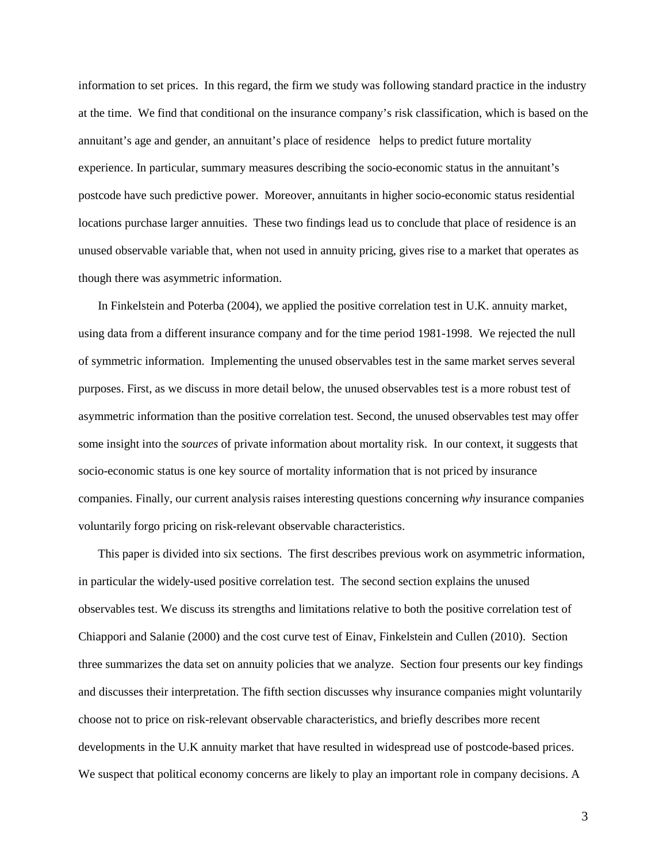information to set prices. In this regard, the firm we study was following standard practice in the industry at the time. We find that conditional on the insurance company's risk classification, which is based on the annuitant's age and gender, an annuitant's place of residence helps to predict future mortality experience. In particular, summary measures describing the socio-economic status in the annuitant's postcode have such predictive power. Moreover, annuitants in higher socio-economic status residential locations purchase larger annuities. These two findings lead us to conclude that place of residence is an unused observable variable that, when not used in annuity pricing, gives rise to a market that operates as though there was asymmetric information.

In Finkelstein and Poterba (2004), we applied the positive correlation test in U.K. annuity market, using data from a different insurance company and for the time period 1981-1998. We rejected the null of symmetric information. Implementing the unused observables test in the same market serves several purposes. First, as we discuss in more detail below, the unused observables test is a more robust test of asymmetric information than the positive correlation test. Second, the unused observables test may offer some insight into the *sources* of private information about mortality risk. In our context, it suggests that socio-economic status is one key source of mortality information that is not priced by insurance companies. Finally, our current analysis raises interesting questions concerning *why* insurance companies voluntarily forgo pricing on risk-relevant observable characteristics.

This paper is divided into six sections. The first describes previous work on asymmetric information, in particular the widely-used positive correlation test. The second section explains the unused observables test. We discuss its strengths and limitations relative to both the positive correlation test of Chiappori and Salanie (2000) and the cost curve test of Einav, Finkelstein and Cullen (2010). Section three summarizes the data set on annuity policies that we analyze. Section four presents our key findings and discusses their interpretation. The fifth section discusses why insurance companies might voluntarily choose not to price on risk-relevant observable characteristics, and briefly describes more recent developments in the U.K annuity market that have resulted in widespread use of postcode-based prices. We suspect that political economy concerns are likely to play an important role in company decisions. A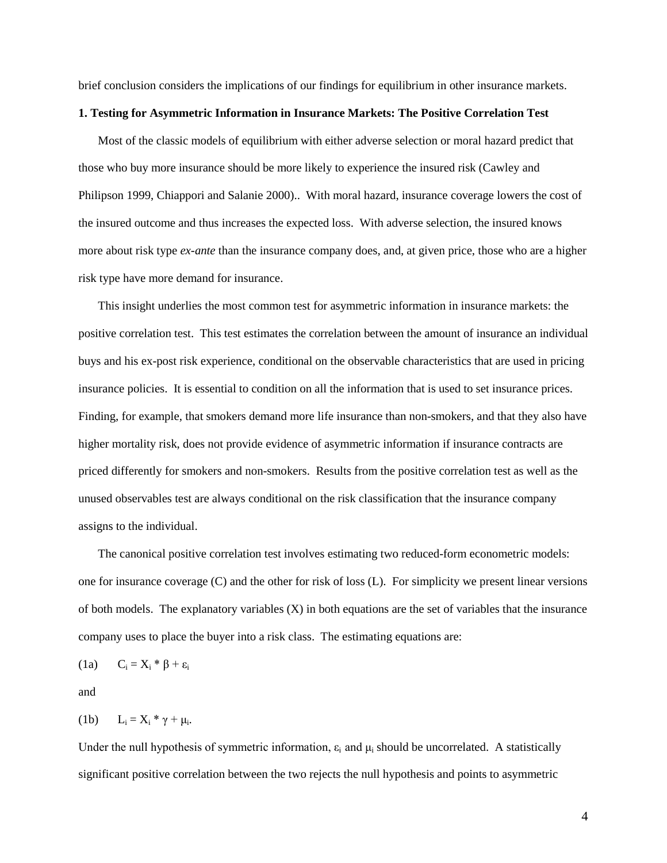brief conclusion considers the implications of our findings for equilibrium in other insurance markets.

## **1. Testing for Asymmetric Information in Insurance Markets: The Positive Correlation Test**

Most of the classic models of equilibrium with either adverse selection or moral hazard predict that those who buy more insurance should be more likely to experience the insured risk (Cawley and Philipson 1999, Chiappori and Salanie 2000).. With moral hazard, insurance coverage lowers the cost of the insured outcome and thus increases the expected loss. With adverse selection, the insured knows more about risk type *ex-ante* than the insurance company does, and, at given price, those who are a higher risk type have more demand for insurance.

This insight underlies the most common test for asymmetric information in insurance markets: the positive correlation test. This test estimates the correlation between the amount of insurance an individual buys and his ex-post risk experience, conditional on the observable characteristics that are used in pricing insurance policies. It is essential to condition on all the information that is used to set insurance prices. Finding, for example, that smokers demand more life insurance than non-smokers, and that they also have higher mortality risk, does not provide evidence of asymmetric information if insurance contracts are priced differently for smokers and non-smokers. Results from the positive correlation test as well as the unused observables test are always conditional on the risk classification that the insurance company assigns to the individual.

The canonical positive correlation test involves estimating two reduced-form econometric models: one for insurance coverage (C) and the other for risk of loss (L). For simplicity we present linear versions of both models. The explanatory variables  $(X)$  in both equations are the set of variables that the insurance company uses to place the buyer into a risk class. The estimating equations are:

$$
(1a) \qquad C_i = X_i \cdot \beta + \varepsilon_i
$$

and

(1b) 
$$
L_i = X_i * \gamma + \mu_i.
$$

Under the null hypothesis of symmetric information,  $\varepsilon_i$  and  $\mu_i$  should be uncorrelated. A statistically significant positive correlation between the two rejects the null hypothesis and points to asymmetric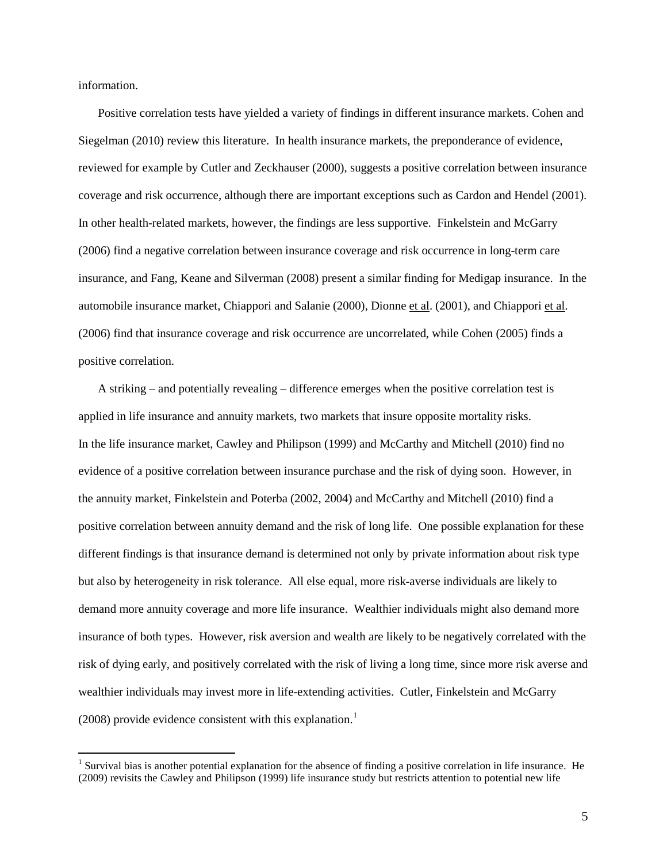information.

Positive correlation tests have yielded a variety of findings in different insurance markets. Cohen and Siegelman (2010) review this literature. In health insurance markets, the preponderance of evidence, reviewed for example by Cutler and Zeckhauser (2000), suggests a positive correlation between insurance coverage and risk occurrence, although there are important exceptions such as Cardon and Hendel (2001). In other health-related markets, however, the findings are less supportive. Finkelstein and McGarry (2006) find a negative correlation between insurance coverage and risk occurrence in long-term care insurance, and Fang, Keane and Silverman (2008) present a similar finding for Medigap insurance. In the automobile insurance market, Chiappori and Salanie (2000), Dionne et al. (2001), and Chiappori et al. (2006) find that insurance coverage and risk occurrence are uncorrelated, while Cohen (2005) finds a positive correlation.

A striking – and potentially revealing – difference emerges when the positive correlation test is applied in life insurance and annuity markets, two markets that insure opposite mortality risks. In the life insurance market, Cawley and Philipson (1999) and McCarthy and Mitchell (2010) find no evidence of a positive correlation between insurance purchase and the risk of dying soon. However, in the annuity market, Finkelstein and Poterba (2002, 2004) and McCarthy and Mitchell (2010) find a positive correlation between annuity demand and the risk of long life. One possible explanation for these different findings is that insurance demand is determined not only by private information about risk type but also by heterogeneity in risk tolerance. All else equal, more risk-averse individuals are likely to demand more annuity coverage and more life insurance. Wealthier individuals might also demand more insurance of both types. However, risk aversion and wealth are likely to be negatively correlated with the risk of dying early, and positively correlated with the risk of living a long time, since more risk averse and wealthier individuals may invest more in life-extending activities. Cutler, Finkelstein and McGarry (2008) provide evidence consistent with this explanation.<sup>[1](#page-5-0)</sup>

<span id="page-5-0"></span> $<sup>1</sup>$  Survival bias is another potential explanation for the absence of finding a positive correlation in life insurance. He</sup> (2009) revisits the Cawley and Philipson (1999) life insurance study but restricts attention to potential new life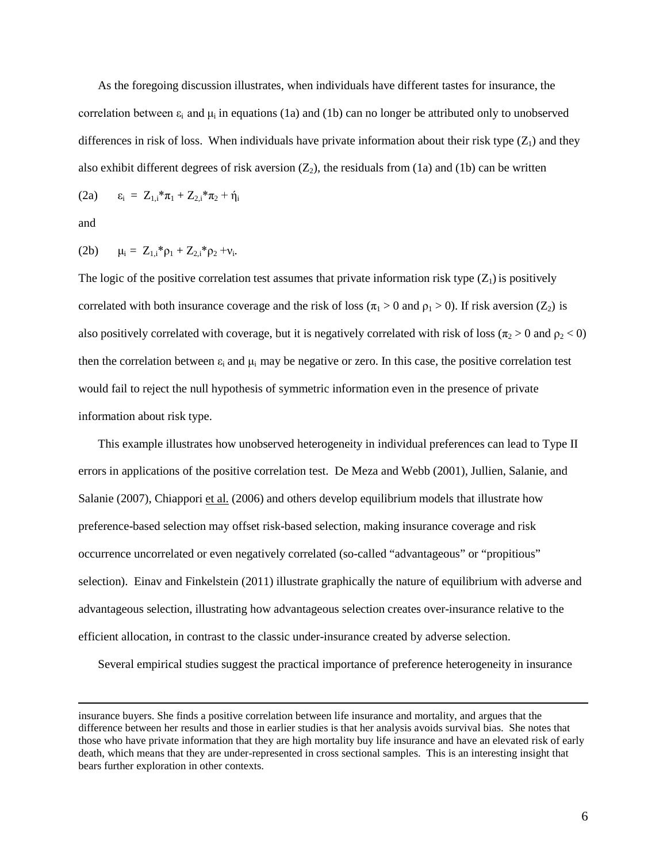As the foregoing discussion illustrates, when individuals have different tastes for insurance, the correlation between  $\varepsilon_i$  and  $\mu_i$  in equations (1a) and (1b) can no longer be attributed only to unobserved differences in risk of loss. When individuals have private information about their risk type  $(Z_1)$  and they also exhibit different degrees of risk aversion  $(Z_2)$ , the residuals from (1a) and (1b) can be written

(2a) 
$$
\epsilon_i = Z_{1,i}^* \pi_1 + Z_{2,i}^* \pi_2 + \eta_i
$$

and

 $\overline{a}$ 

(2b) 
$$
\mu_i = Z_{1,i}^* \phi_1 + Z_{2,i}^* \phi_2 + v_i.
$$

The logic of the positive correlation test assumes that private information risk type  $(Z_1)$  is positively correlated with both insurance coverage and the risk of loss ( $\pi_1 > 0$  and  $\rho_1 > 0$ ). If risk aversion (Z<sub>2</sub>) is also positively correlated with coverage, but it is negatively correlated with risk of loss ( $\pi$ <sub>2</sub> > 0 and  $\rho$ <sub>2</sub> < 0) then the correlation between  $\varepsilon_i$  and  $\mu_i$  may be negative or zero. In this case, the positive correlation test would fail to reject the null hypothesis of symmetric information even in the presence of private information about risk type.

This example illustrates how unobserved heterogeneity in individual preferences can lead to Type II errors in applications of the positive correlation test. De Meza and Webb (2001), Jullien, Salanie, and Salanie (2007), Chiappori et al. (2006) and others develop equilibrium models that illustrate how preference-based selection may offset risk-based selection, making insurance coverage and risk occurrence uncorrelated or even negatively correlated (so-called "advantageous" or "propitious" selection). Einav and Finkelstein (2011) illustrate graphically the nature of equilibrium with adverse and advantageous selection, illustrating how advantageous selection creates over-insurance relative to the efficient allocation, in contrast to the classic under-insurance created by adverse selection.

Several empirical studies suggest the practical importance of preference heterogeneity in insurance

insurance buyers. She finds a positive correlation between life insurance and mortality, and argues that the difference between her results and those in earlier studies is that her analysis avoids survival bias. She notes that those who have private information that they are high mortality buy life insurance and have an elevated risk of early death, which means that they are under-represented in cross sectional samples. This is an interesting insight that bears further exploration in other contexts.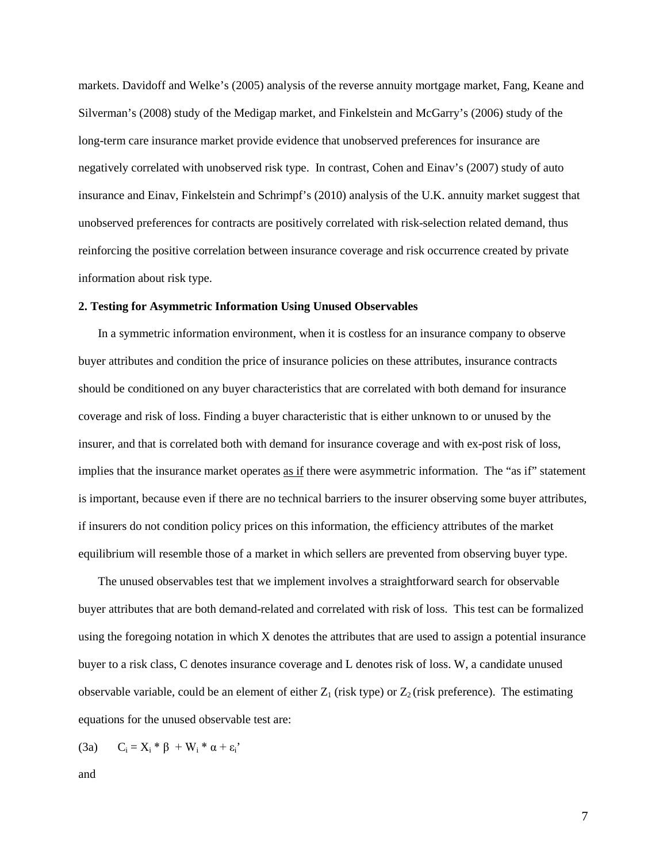markets. Davidoff and Welke's (2005) analysis of the reverse annuity mortgage market, Fang, Keane and Silverman's (2008) study of the Medigap market, and Finkelstein and McGarry's (2006) study of the long-term care insurance market provide evidence that unobserved preferences for insurance are negatively correlated with unobserved risk type. In contrast, Cohen and Einav's (2007) study of auto insurance and Einav, Finkelstein and Schrimpf's (2010) analysis of the U.K. annuity market suggest that unobserved preferences for contracts are positively correlated with risk-selection related demand, thus reinforcing the positive correlation between insurance coverage and risk occurrence created by private information about risk type.

## **2. Testing for Asymmetric Information Using Unused Observables**

In a symmetric information environment, when it is costless for an insurance company to observe buyer attributes and condition the price of insurance policies on these attributes, insurance contracts should be conditioned on any buyer characteristics that are correlated with both demand for insurance coverage and risk of loss. Finding a buyer characteristic that is either unknown to or unused by the insurer, and that is correlated both with demand for insurance coverage and with ex-post risk of loss, implies that the insurance market operates as if there were asymmetric information. The "as if" statement is important, because even if there are no technical barriers to the insurer observing some buyer attributes, if insurers do not condition policy prices on this information, the efficiency attributes of the market equilibrium will resemble those of a market in which sellers are prevented from observing buyer type.

The unused observables test that we implement involves a straightforward search for observable buyer attributes that are both demand-related and correlated with risk of loss. This test can be formalized using the foregoing notation in which X denotes the attributes that are used to assign a potential insurance buyer to a risk class, C denotes insurance coverage and L denotes risk of loss. W, a candidate unused observable variable, could be an element of either  $Z_1$  (risk type) or  $Z_2$  (risk preference). The estimating equations for the unused observable test are:

(3a)  $C_i = X_i * \beta + W_i * \alpha + \varepsilon_i'$ 

and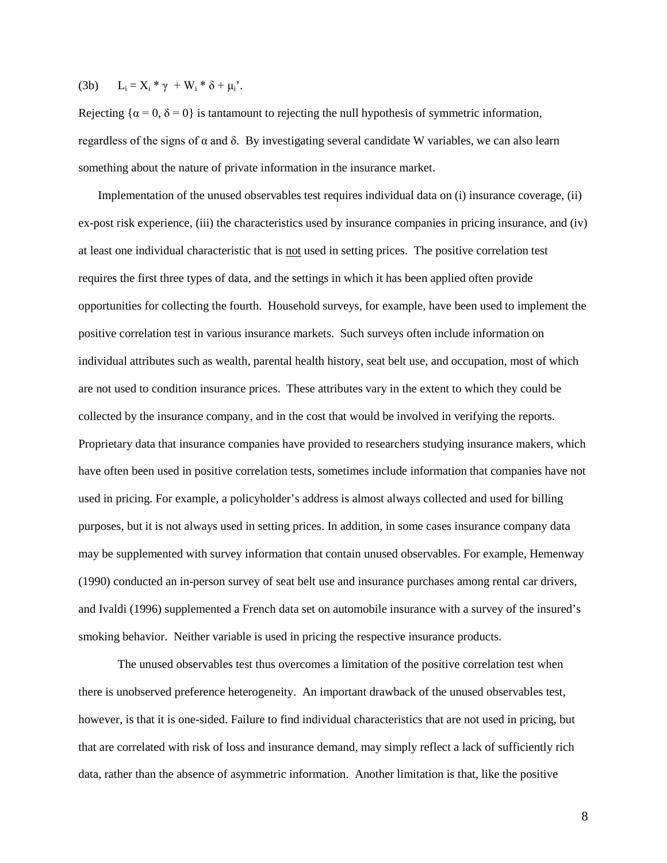(3b)  $L_i = X_i * \gamma + W_i * \delta + \mu_i'$ .

Rejecting  $\{\alpha = 0, \delta = 0\}$  is tantamount to rejecting the null hypothesis of symmetric information, regardless of the signs of α and δ. By investigating several candidate W variables, we can also learn something about the nature of private information in the insurance market.

Implementation of the unused observables test requires individual data on (i) insurance coverage, (ii) ex-post risk experience, (iii) the characteristics used by insurance companies in pricing insurance, and (iv) at least one individual characteristic that is not used in setting prices. The positive correlation test requires the first three types of data, and the settings in which it has been applied often provide opportunities for collecting the fourth. Household surveys, for example, have been used to implement the positive correlation test in various insurance markets. Such surveys often include information on individual attributes such as wealth, parental health history, seat belt use, and occupation, most of which are not used to condition insurance prices. These attributes vary in the extent to which they could be collected by the insurance company, and in the cost that would be involved in verifying the reports. Proprietary data that insurance companies have provided to researchers studying insurance makers, which have often been used in positive correlation tests, sometimes include information that companies have not used in pricing. For example, a policyholder's address is almost always collected and used for billing purposes, but it is not always used in setting prices. In addition, in some cases insurance company data may be supplemented with survey information that contain unused observables. For example, Hemenway (1990) conducted an in-person survey of seat belt use and insurance purchases among rental car drivers, and Ivaldi (1996) supplemented a French data set on automobile insurance with a survey of the insured's smoking behavior. Neither variable is used in pricing the respective insurance products.

The unused observables test thus overcomes a limitation of the positive correlation test when there is unobserved preference heterogeneity. An important drawback of the unused observables test, however, is that it is one-sided. Failure to find individual characteristics that are not used in pricing, but that are correlated with risk of loss and insurance demand, may simply reflect a lack of sufficiently rich data, rather than the absence of asymmetric information. Another limitation is that, like the positive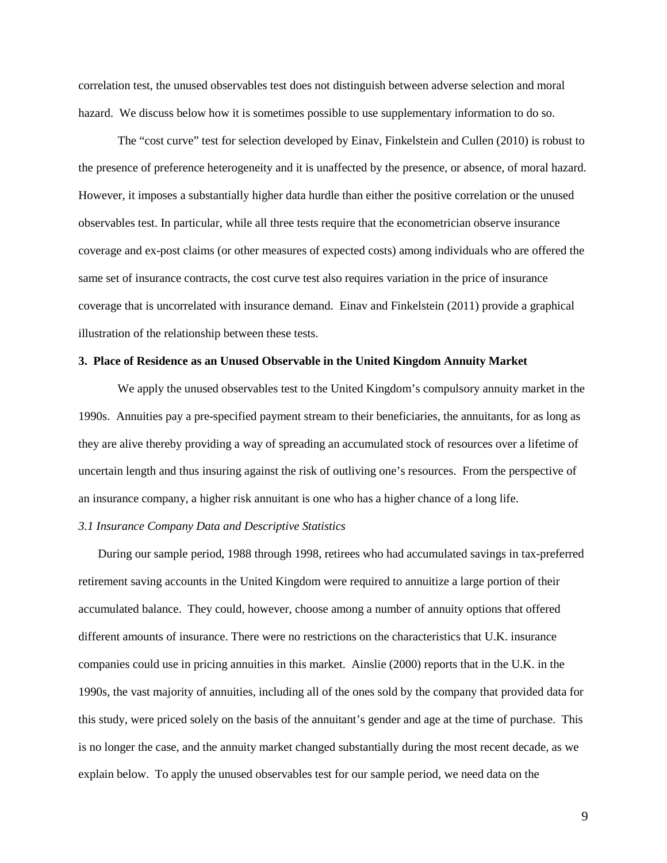correlation test, the unused observables test does not distinguish between adverse selection and moral hazard. We discuss below how it is sometimes possible to use supplementary information to do so.

The "cost curve" test for selection developed by Einav, Finkelstein and Cullen (2010) is robust to the presence of preference heterogeneity and it is unaffected by the presence, or absence, of moral hazard. However, it imposes a substantially higher data hurdle than either the positive correlation or the unused observables test. In particular, while all three tests require that the econometrician observe insurance coverage and ex-post claims (or other measures of expected costs) among individuals who are offered the same set of insurance contracts, the cost curve test also requires variation in the price of insurance coverage that is uncorrelated with insurance demand. Einav and Finkelstein (2011) provide a graphical illustration of the relationship between these tests.

## **3. Place of Residence as an Unused Observable in the United Kingdom Annuity Market**

We apply the unused observables test to the United Kingdom's compulsory annuity market in the 1990s. Annuities pay a pre-specified payment stream to their beneficiaries, the annuitants, for as long as they are alive thereby providing a way of spreading an accumulated stock of resources over a lifetime of uncertain length and thus insuring against the risk of outliving one's resources. From the perspective of an insurance company, a higher risk annuitant is one who has a higher chance of a long life.

## *3.1 Insurance Company Data and Descriptive Statistics*

During our sample period, 1988 through 1998, retirees who had accumulated savings in tax-preferred retirement saving accounts in the United Kingdom were required to annuitize a large portion of their accumulated balance. They could, however, choose among a number of annuity options that offered different amounts of insurance. There were no restrictions on the characteristics that U.K. insurance companies could use in pricing annuities in this market. Ainslie (2000) reports that in the U.K. in the 1990s, the vast majority of annuities, including all of the ones sold by the company that provided data for this study, were priced solely on the basis of the annuitant's gender and age at the time of purchase. This is no longer the case, and the annuity market changed substantially during the most recent decade, as we explain below. To apply the unused observables test for our sample period, we need data on the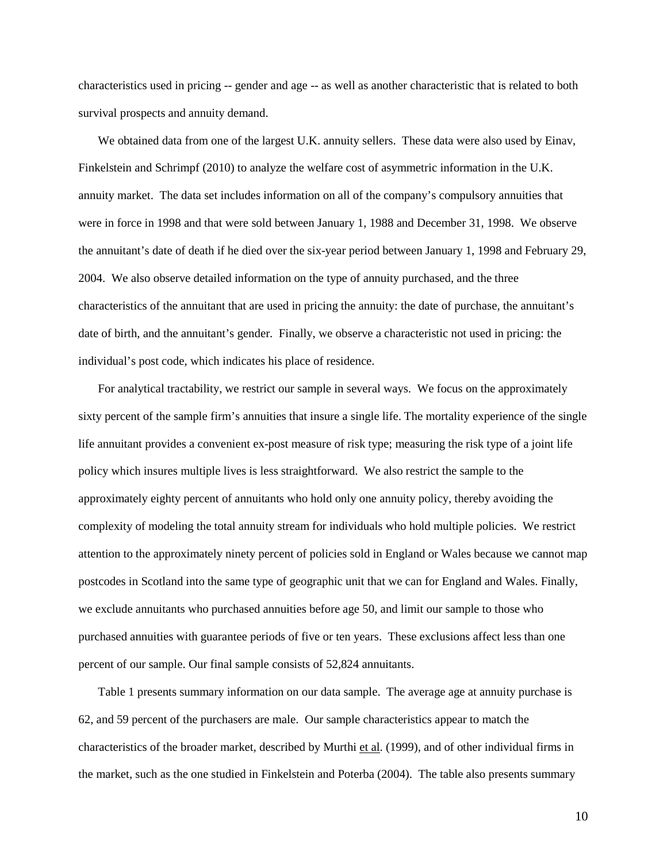characteristics used in pricing -- gender and age -- as well as another characteristic that is related to both survival prospects and annuity demand.

We obtained data from one of the largest U.K. annuity sellers. These data were also used by Einav, Finkelstein and Schrimpf (2010) to analyze the welfare cost of asymmetric information in the U.K. annuity market. The data set includes information on all of the company's compulsory annuities that were in force in 1998 and that were sold between January 1, 1988 and December 31, 1998. We observe the annuitant's date of death if he died over the six-year period between January 1, 1998 and February 29, 2004. We also observe detailed information on the type of annuity purchased, and the three characteristics of the annuitant that are used in pricing the annuity: the date of purchase, the annuitant's date of birth, and the annuitant's gender. Finally, we observe a characteristic not used in pricing: the individual's post code, which indicates his place of residence.

For analytical tractability, we restrict our sample in several ways. We focus on the approximately sixty percent of the sample firm's annuities that insure a single life. The mortality experience of the single life annuitant provides a convenient ex-post measure of risk type; measuring the risk type of a joint life policy which insures multiple lives is less straightforward. We also restrict the sample to the approximately eighty percent of annuitants who hold only one annuity policy, thereby avoiding the complexity of modeling the total annuity stream for individuals who hold multiple policies. We restrict attention to the approximately ninety percent of policies sold in England or Wales because we cannot map postcodes in Scotland into the same type of geographic unit that we can for England and Wales. Finally, we exclude annuitants who purchased annuities before age 50, and limit our sample to those who purchased annuities with guarantee periods of five or ten years. These exclusions affect less than one percent of our sample. Our final sample consists of 52,824 annuitants.

Table 1 presents summary information on our data sample. The average age at annuity purchase is 62, and 59 percent of the purchasers are male. Our sample characteristics appear to match the characteristics of the broader market, described by Murthi et al. (1999), and of other individual firms in the market, such as the one studied in Finkelstein and Poterba (2004). The table also presents summary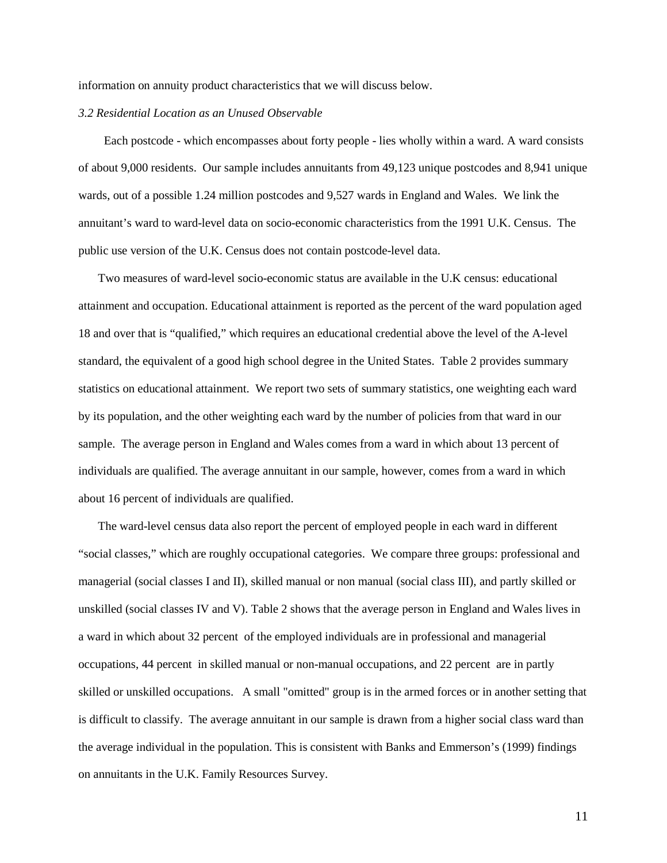information on annuity product characteristics that we will discuss below.

#### *3.2 Residential Location as an Unused Observable*

 Each postcode - which encompasses about forty people - lies wholly within a ward. A ward consists of about 9,000 residents. Our sample includes annuitants from 49,123 unique postcodes and 8,941 unique wards, out of a possible 1.24 million postcodes and 9,527 wards in England and Wales. We link the annuitant's ward to ward-level data on socio-economic characteristics from the 1991 U.K. Census. The public use version of the U.K. Census does not contain postcode-level data.

Two measures of ward-level socio-economic status are available in the U.K census: educational attainment and occupation. Educational attainment is reported as the percent of the ward population aged 18 and over that is "qualified," which requires an educational credential above the level of the A-level standard, the equivalent of a good high school degree in the United States. Table 2 provides summary statistics on educational attainment. We report two sets of summary statistics, one weighting each ward by its population, and the other weighting each ward by the number of policies from that ward in our sample. The average person in England and Wales comes from a ward in which about 13 percent of individuals are qualified. The average annuitant in our sample, however, comes from a ward in which about 16 percent of individuals are qualified.

The ward-level census data also report the percent of employed people in each ward in different "social classes," which are roughly occupational categories. We compare three groups: professional and managerial (social classes I and II), skilled manual or non manual (social class III), and partly skilled or unskilled (social classes IV and V). Table 2 shows that the average person in England and Wales lives in a ward in which about 32 percent of the employed individuals are in professional and managerial occupations, 44 percent in skilled manual or non-manual occupations, and 22 percent are in partly skilled or unskilled occupations. A small "omitted" group is in the armed forces or in another setting that is difficult to classify. The average annuitant in our sample is drawn from a higher social class ward than the average individual in the population. This is consistent with Banks and Emmerson's (1999) findings on annuitants in the U.K. Family Resources Survey.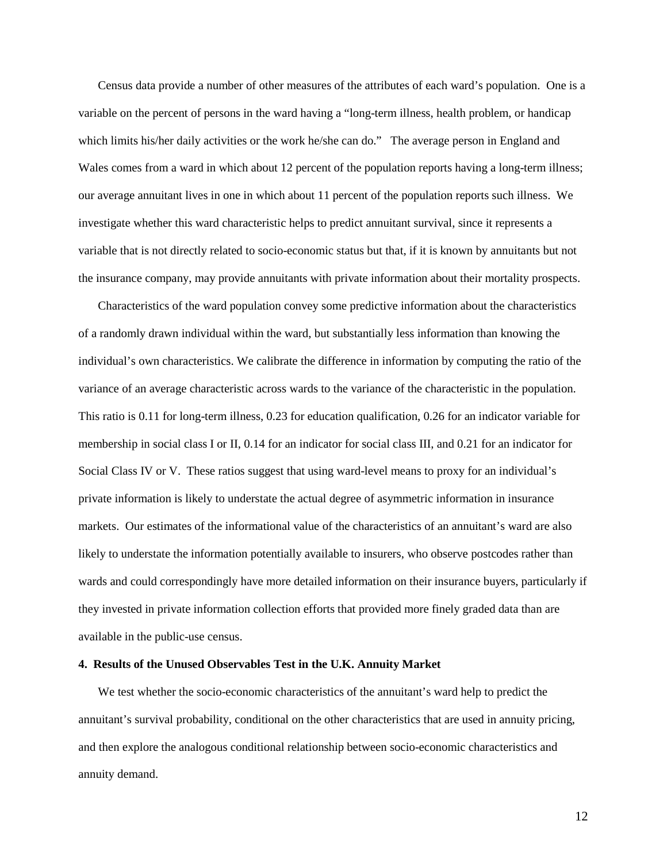Census data provide a number of other measures of the attributes of each ward's population. One is a variable on the percent of persons in the ward having a "long-term illness, health problem, or handicap which limits his/her daily activities or the work he/she can do." The average person in England and Wales comes from a ward in which about 12 percent of the population reports having a long-term illness; our average annuitant lives in one in which about 11 percent of the population reports such illness. We investigate whether this ward characteristic helps to predict annuitant survival, since it represents a variable that is not directly related to socio-economic status but that, if it is known by annuitants but not the insurance company, may provide annuitants with private information about their mortality prospects.

Characteristics of the ward population convey some predictive information about the characteristics of a randomly drawn individual within the ward, but substantially less information than knowing the individual's own characteristics. We calibrate the difference in information by computing the ratio of the variance of an average characteristic across wards to the variance of the characteristic in the population. This ratio is 0.11 for long-term illness, 0.23 for education qualification, 0.26 for an indicator variable for membership in social class I or II, 0.14 for an indicator for social class III, and 0.21 for an indicator for Social Class IV or V. These ratios suggest that using ward-level means to proxy for an individual's private information is likely to understate the actual degree of asymmetric information in insurance markets. Our estimates of the informational value of the characteristics of an annuitant's ward are also likely to understate the information potentially available to insurers, who observe postcodes rather than wards and could correspondingly have more detailed information on their insurance buyers, particularly if they invested in private information collection efforts that provided more finely graded data than are available in the public-use census.

## **4. Results of the Unused Observables Test in the U.K. Annuity Market**

We test whether the socio-economic characteristics of the annuitant's ward help to predict the annuitant's survival probability, conditional on the other characteristics that are used in annuity pricing, and then explore the analogous conditional relationship between socio-economic characteristics and annuity demand.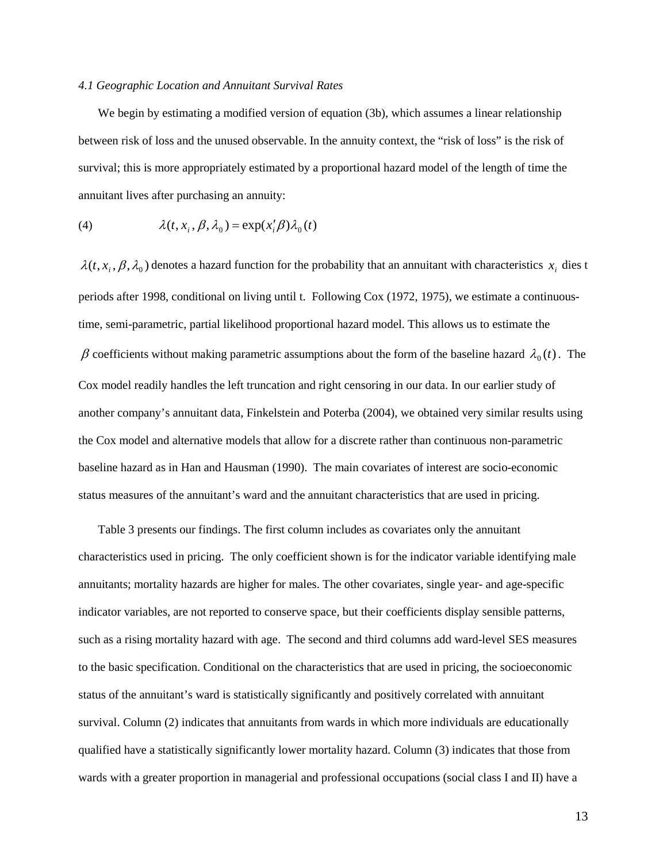#### *4.1 Geographic Location and Annuitant Survival Rates*

We begin by estimating a modified version of equation (3b), which assumes a linear relationship between risk of loss and the unused observable. In the annuity context, the "risk of loss" is the risk of survival; this is more appropriately estimated by a proportional hazard model of the length of time the annuitant lives after purchasing an annuity:

(4) 
$$
\lambda(t, x_i, \beta, \lambda_0) = \exp(x_i'\beta)\lambda_0(t)
$$

 $\lambda(t, x_i, \beta, \lambda_0)$  denotes a hazard function for the probability that an annuitant with characteristics  $x_i$  dies t periods after 1998, conditional on living until t. Following Cox (1972, 1975), we estimate a continuoustime, semi-parametric, partial likelihood proportional hazard model. This allows us to estimate the β coefficients without making parametric assumptions about the form of the baseline hazard  $\lambda_0(t)$ . The Cox model readily handles the left truncation and right censoring in our data. In our earlier study of another company's annuitant data, Finkelstein and Poterba (2004), we obtained very similar results using the Cox model and alternative models that allow for a discrete rather than continuous non-parametric baseline hazard as in Han and Hausman (1990). The main covariates of interest are socio-economic status measures of the annuitant's ward and the annuitant characteristics that are used in pricing.

Table 3 presents our findings. The first column includes as covariates only the annuitant characteristics used in pricing. The only coefficient shown is for the indicator variable identifying male annuitants; mortality hazards are higher for males. The other covariates, single year- and age-specific indicator variables, are not reported to conserve space, but their coefficients display sensible patterns, such as a rising mortality hazard with age. The second and third columns add ward-level SES measures to the basic specification. Conditional on the characteristics that are used in pricing, the socioeconomic status of the annuitant's ward is statistically significantly and positively correlated with annuitant survival. Column (2) indicates that annuitants from wards in which more individuals are educationally qualified have a statistically significantly lower mortality hazard. Column (3) indicates that those from wards with a greater proportion in managerial and professional occupations (social class I and II) have a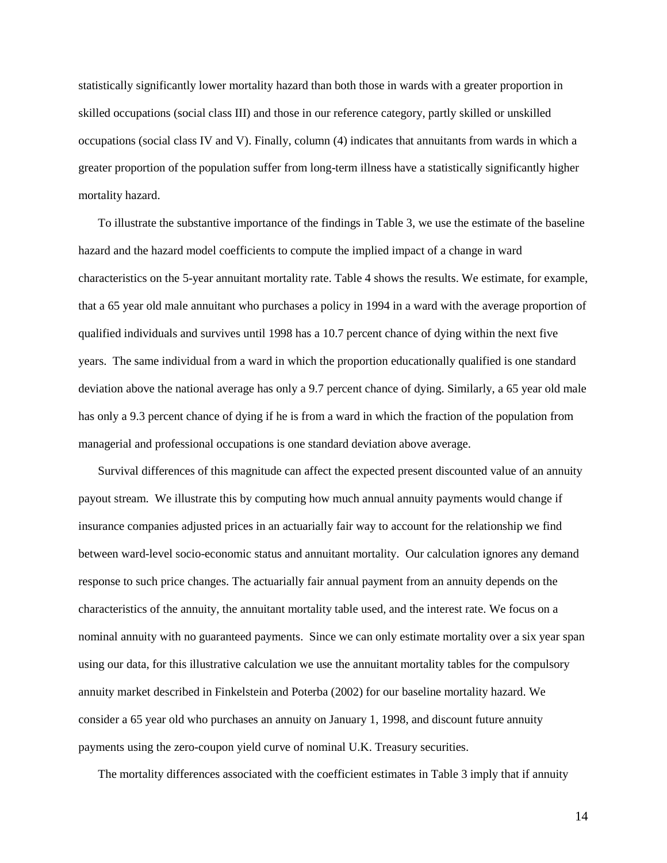statistically significantly lower mortality hazard than both those in wards with a greater proportion in skilled occupations (social class III) and those in our reference category, partly skilled or unskilled occupations (social class IV and V). Finally, column (4) indicates that annuitants from wards in which a greater proportion of the population suffer from long-term illness have a statistically significantly higher mortality hazard.

To illustrate the substantive importance of the findings in Table 3, we use the estimate of the baseline hazard and the hazard model coefficients to compute the implied impact of a change in ward characteristics on the 5-year annuitant mortality rate. Table 4 shows the results. We estimate, for example, that a 65 year old male annuitant who purchases a policy in 1994 in a ward with the average proportion of qualified individuals and survives until 1998 has a 10.7 percent chance of dying within the next five years. The same individual from a ward in which the proportion educationally qualified is one standard deviation above the national average has only a 9.7 percent chance of dying. Similarly, a 65 year old male has only a 9.3 percent chance of dying if he is from a ward in which the fraction of the population from managerial and professional occupations is one standard deviation above average.

Survival differences of this magnitude can affect the expected present discounted value of an annuity payout stream. We illustrate this by computing how much annual annuity payments would change if insurance companies adjusted prices in an actuarially fair way to account for the relationship we find between ward-level socio-economic status and annuitant mortality. Our calculation ignores any demand response to such price changes. The actuarially fair annual payment from an annuity depends on the characteristics of the annuity, the annuitant mortality table used, and the interest rate. We focus on a nominal annuity with no guaranteed payments. Since we can only estimate mortality over a six year span using our data, for this illustrative calculation we use the annuitant mortality tables for the compulsory annuity market described in Finkelstein and Poterba (2002) for our baseline mortality hazard. We consider a 65 year old who purchases an annuity on January 1, 1998, and discount future annuity payments using the zero-coupon yield curve of nominal U.K. Treasury securities.

The mortality differences associated with the coefficient estimates in Table 3 imply that if annuity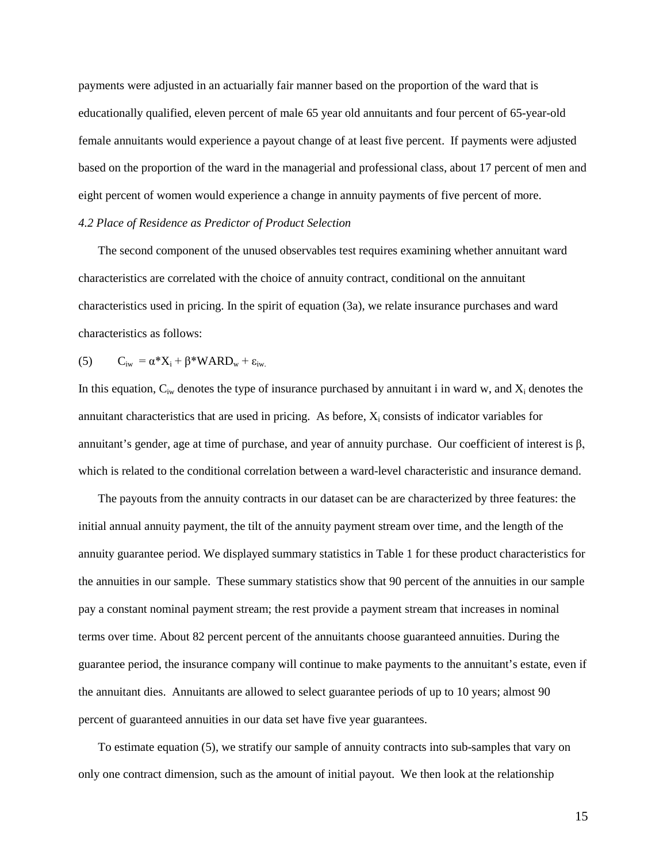payments were adjusted in an actuarially fair manner based on the proportion of the ward that is educationally qualified, eleven percent of male 65 year old annuitants and four percent of 65-year-old female annuitants would experience a payout change of at least five percent. If payments were adjusted based on the proportion of the ward in the managerial and professional class, about 17 percent of men and eight percent of women would experience a change in annuity payments of five percent of more. *4.2 Place of Residence as Predictor of Product Selection* 

The second component of the unused observables test requires examining whether annuitant ward characteristics are correlated with the choice of annuity contract, conditional on the annuitant characteristics used in pricing. In the spirit of equation (3a), we relate insurance purchases and ward characteristics as follows:

(5)  $C_{iw} = \alpha^* X_i + \beta^* W ARD_w + \varepsilon_{iw}$ .

In this equation,  $C_{iw}$  denotes the type of insurance purchased by annuitant i in ward w, and  $X_i$  denotes the annuitant characteristics that are used in pricing. As before,  $X_i$  consists of indicator variables for annuitant's gender, age at time of purchase, and year of annuity purchase. Our coefficient of interest is β, which is related to the conditional correlation between a ward-level characteristic and insurance demand.

The payouts from the annuity contracts in our dataset can be are characterized by three features: the initial annual annuity payment, the tilt of the annuity payment stream over time, and the length of the annuity guarantee period. We displayed summary statistics in Table 1 for these product characteristics for the annuities in our sample. These summary statistics show that 90 percent of the annuities in our sample pay a constant nominal payment stream; the rest provide a payment stream that increases in nominal terms over time. About 82 percent percent of the annuitants choose guaranteed annuities. During the guarantee period, the insurance company will continue to make payments to the annuitant's estate, even if the annuitant dies. Annuitants are allowed to select guarantee periods of up to 10 years; almost 90 percent of guaranteed annuities in our data set have five year guarantees.

To estimate equation (5), we stratify our sample of annuity contracts into sub-samples that vary on only one contract dimension, such as the amount of initial payout. We then look at the relationship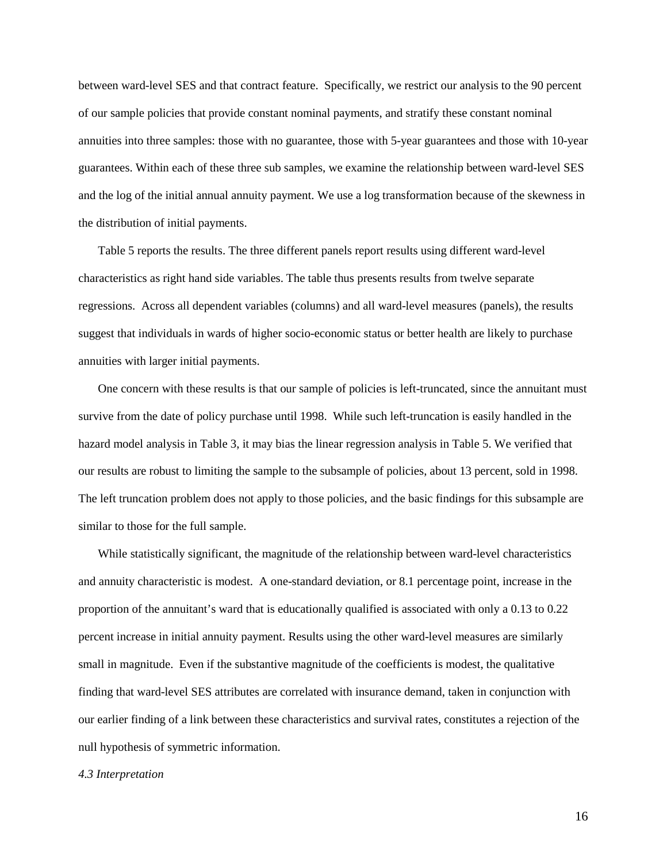between ward-level SES and that contract feature. Specifically, we restrict our analysis to the 90 percent of our sample policies that provide constant nominal payments, and stratify these constant nominal annuities into three samples: those with no guarantee, those with 5-year guarantees and those with 10-year guarantees. Within each of these three sub samples, we examine the relationship between ward-level SES and the log of the initial annual annuity payment. We use a log transformation because of the skewness in the distribution of initial payments.

Table 5 reports the results. The three different panels report results using different ward-level characteristics as right hand side variables. The table thus presents results from twelve separate regressions. Across all dependent variables (columns) and all ward-level measures (panels), the results suggest that individuals in wards of higher socio-economic status or better health are likely to purchase annuities with larger initial payments.

One concern with these results is that our sample of policies is left-truncated, since the annuitant must survive from the date of policy purchase until 1998. While such left-truncation is easily handled in the hazard model analysis in Table 3, it may bias the linear regression analysis in Table 5. We verified that our results are robust to limiting the sample to the subsample of policies, about 13 percent, sold in 1998. The left truncation problem does not apply to those policies, and the basic findings for this subsample are similar to those for the full sample.

While statistically significant, the magnitude of the relationship between ward-level characteristics and annuity characteristic is modest. A one-standard deviation, or 8.1 percentage point, increase in the proportion of the annuitant's ward that is educationally qualified is associated with only a 0.13 to 0.22 percent increase in initial annuity payment. Results using the other ward-level measures are similarly small in magnitude. Even if the substantive magnitude of the coefficients is modest, the qualitative finding that ward-level SES attributes are correlated with insurance demand, taken in conjunction with our earlier finding of a link between these characteristics and survival rates, constitutes a rejection of the null hypothesis of symmetric information.

## *4.3 Interpretation*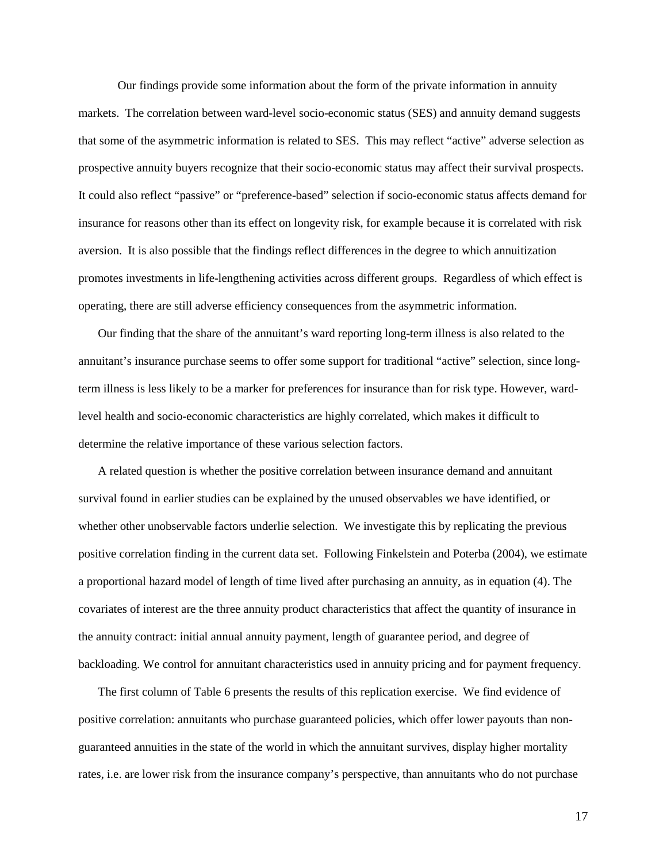Our findings provide some information about the form of the private information in annuity markets. The correlation between ward-level socio-economic status (SES) and annuity demand suggests that some of the asymmetric information is related to SES. This may reflect "active" adverse selection as prospective annuity buyers recognize that their socio-economic status may affect their survival prospects. It could also reflect "passive" or "preference-based" selection if socio-economic status affects demand for insurance for reasons other than its effect on longevity risk, for example because it is correlated with risk aversion. It is also possible that the findings reflect differences in the degree to which annuitization promotes investments in life-lengthening activities across different groups. Regardless of which effect is operating, there are still adverse efficiency consequences from the asymmetric information.

Our finding that the share of the annuitant's ward reporting long-term illness is also related to the annuitant's insurance purchase seems to offer some support for traditional "active" selection, since longterm illness is less likely to be a marker for preferences for insurance than for risk type. However, wardlevel health and socio-economic characteristics are highly correlated, which makes it difficult to determine the relative importance of these various selection factors.

A related question is whether the positive correlation between insurance demand and annuitant survival found in earlier studies can be explained by the unused observables we have identified, or whether other unobservable factors underlie selection. We investigate this by replicating the previous positive correlation finding in the current data set. Following Finkelstein and Poterba (2004), we estimate a proportional hazard model of length of time lived after purchasing an annuity, as in equation (4). The covariates of interest are the three annuity product characteristics that affect the quantity of insurance in the annuity contract: initial annual annuity payment, length of guarantee period, and degree of backloading. We control for annuitant characteristics used in annuity pricing and for payment frequency.

The first column of Table 6 presents the results of this replication exercise. We find evidence of positive correlation: annuitants who purchase guaranteed policies, which offer lower payouts than nonguaranteed annuities in the state of the world in which the annuitant survives, display higher mortality rates, i.e. are lower risk from the insurance company's perspective, than annuitants who do not purchase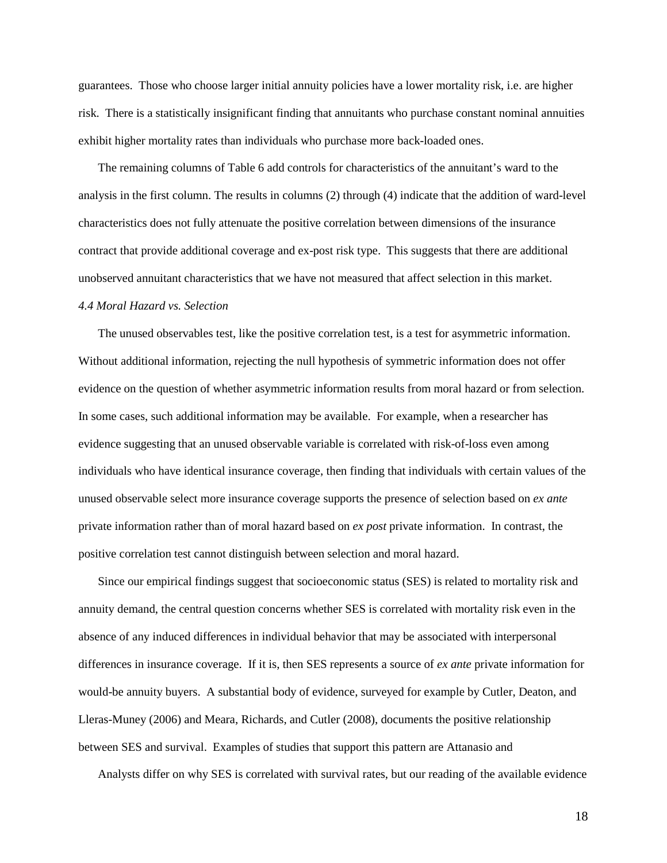guarantees. Those who choose larger initial annuity policies have a lower mortality risk, i.e. are higher risk. There is a statistically insignificant finding that annuitants who purchase constant nominal annuities exhibit higher mortality rates than individuals who purchase more back-loaded ones.

The remaining columns of Table 6 add controls for characteristics of the annuitant's ward to the analysis in the first column. The results in columns (2) through (4) indicate that the addition of ward-level characteristics does not fully attenuate the positive correlation between dimensions of the insurance contract that provide additional coverage and ex-post risk type. This suggests that there are additional unobserved annuitant characteristics that we have not measured that affect selection in this market. *4.4 Moral Hazard vs. Selection*

The unused observables test, like the positive correlation test, is a test for asymmetric information. Without additional information, rejecting the null hypothesis of symmetric information does not offer evidence on the question of whether asymmetric information results from moral hazard or from selection. In some cases, such additional information may be available. For example, when a researcher has evidence suggesting that an unused observable variable is correlated with risk-of-loss even among individuals who have identical insurance coverage, then finding that individuals with certain values of the unused observable select more insurance coverage supports the presence of selection based on *ex ante* private information rather than of moral hazard based on *ex post* private information. In contrast, the positive correlation test cannot distinguish between selection and moral hazard.

Since our empirical findings suggest that socioeconomic status (SES) is related to mortality risk and annuity demand, the central question concerns whether SES is correlated with mortality risk even in the absence of any induced differences in individual behavior that may be associated with interpersonal differences in insurance coverage. If it is, then SES represents a source of *ex ante* private information for would-be annuity buyers. A substantial body of evidence, surveyed for example by Cutler, Deaton, and Lleras-Muney (2006) and Meara, Richards, and Cutler (2008), documents the positive relationship between SES and survival. Examples of studies that support this pattern are Attanasio and

Analysts differ on why SES is correlated with survival rates, but our reading of the available evidence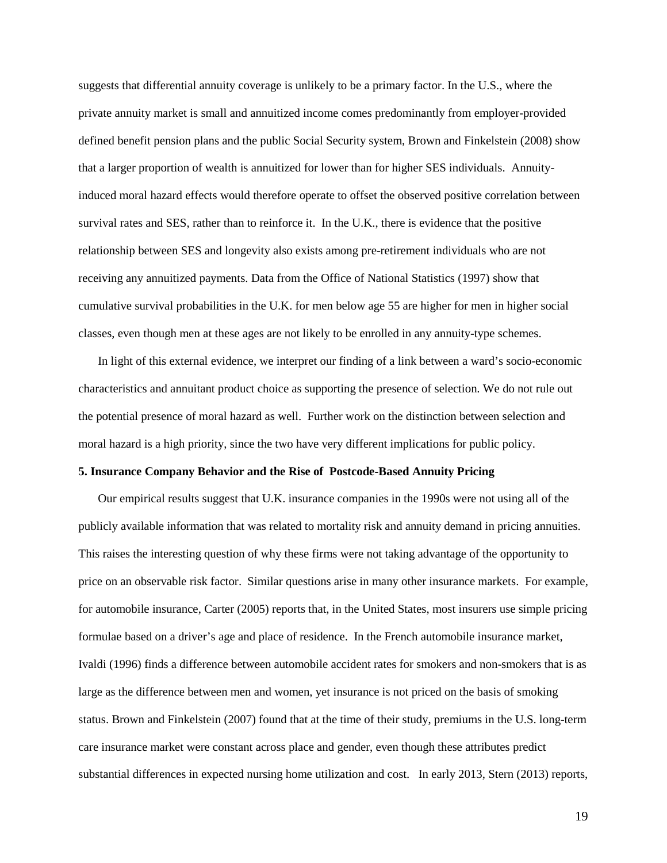suggests that differential annuity coverage is unlikely to be a primary factor. In the U.S., where the private annuity market is small and annuitized income comes predominantly from employer-provided defined benefit pension plans and the public Social Security system, Brown and Finkelstein (2008) show that a larger proportion of wealth is annuitized for lower than for higher SES individuals. Annuityinduced moral hazard effects would therefore operate to offset the observed positive correlation between survival rates and SES, rather than to reinforce it. In the U.K., there is evidence that the positive relationship between SES and longevity also exists among pre-retirement individuals who are not receiving any annuitized payments. Data from the Office of National Statistics (1997) show that cumulative survival probabilities in the U.K. for men below age 55 are higher for men in higher social classes, even though men at these ages are not likely to be enrolled in any annuity-type schemes.

In light of this external evidence, we interpret our finding of a link between a ward's socio-economic characteristics and annuitant product choice as supporting the presence of selection. We do not rule out the potential presence of moral hazard as well. Further work on the distinction between selection and moral hazard is a high priority, since the two have very different implications for public policy.

#### **5. Insurance Company Behavior and the Rise of Postcode-Based Annuity Pricing**

Our empirical results suggest that U.K. insurance companies in the 1990s were not using all of the publicly available information that was related to mortality risk and annuity demand in pricing annuities. This raises the interesting question of why these firms were not taking advantage of the opportunity to price on an observable risk factor. Similar questions arise in many other insurance markets. For example, for automobile insurance, Carter (2005) reports that, in the United States, most insurers use simple pricing formulae based on a driver's age and place of residence. In the French automobile insurance market, Ivaldi (1996) finds a difference between automobile accident rates for smokers and non-smokers that is as large as the difference between men and women, yet insurance is not priced on the basis of smoking status. Brown and Finkelstein (2007) found that at the time of their study, premiums in the U.S. long-term care insurance market were constant across place and gender, even though these attributes predict substantial differences in expected nursing home utilization and cost. In early 2013, Stern (2013) reports,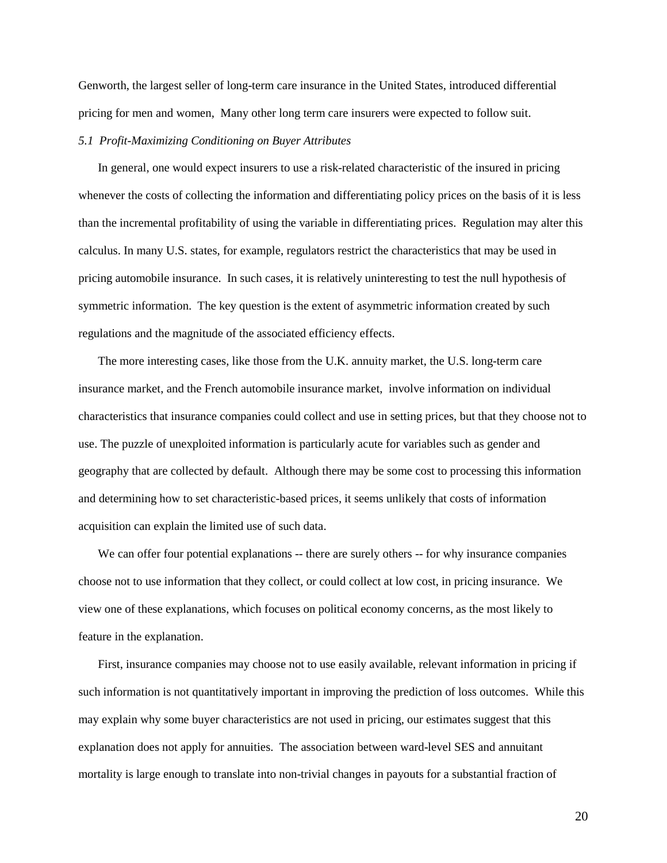Genworth, the largest seller of long-term care insurance in the United States, introduced differential pricing for men and women, Many other long term care insurers were expected to follow suit.

#### *5.1 Profit-Maximizing Conditioning on Buyer Attributes*

In general, one would expect insurers to use a risk-related characteristic of the insured in pricing whenever the costs of collecting the information and differentiating policy prices on the basis of it is less than the incremental profitability of using the variable in differentiating prices. Regulation may alter this calculus. In many U.S. states, for example, regulators restrict the characteristics that may be used in pricing automobile insurance. In such cases, it is relatively uninteresting to test the null hypothesis of symmetric information. The key question is the extent of asymmetric information created by such regulations and the magnitude of the associated efficiency effects.

The more interesting cases, like those from the U.K. annuity market, the U.S. long-term care insurance market, and the French automobile insurance market, involve information on individual characteristics that insurance companies could collect and use in setting prices, but that they choose not to use. The puzzle of unexploited information is particularly acute for variables such as gender and geography that are collected by default. Although there may be some cost to processing this information and determining how to set characteristic-based prices, it seems unlikely that costs of information acquisition can explain the limited use of such data.

We can offer four potential explanations -- there are surely others -- for why insurance companies choose not to use information that they collect, or could collect at low cost, in pricing insurance. We view one of these explanations, which focuses on political economy concerns, as the most likely to feature in the explanation.

First, insurance companies may choose not to use easily available, relevant information in pricing if such information is not quantitatively important in improving the prediction of loss outcomes. While this may explain why some buyer characteristics are not used in pricing, our estimates suggest that this explanation does not apply for annuities. The association between ward-level SES and annuitant mortality is large enough to translate into non-trivial changes in payouts for a substantial fraction of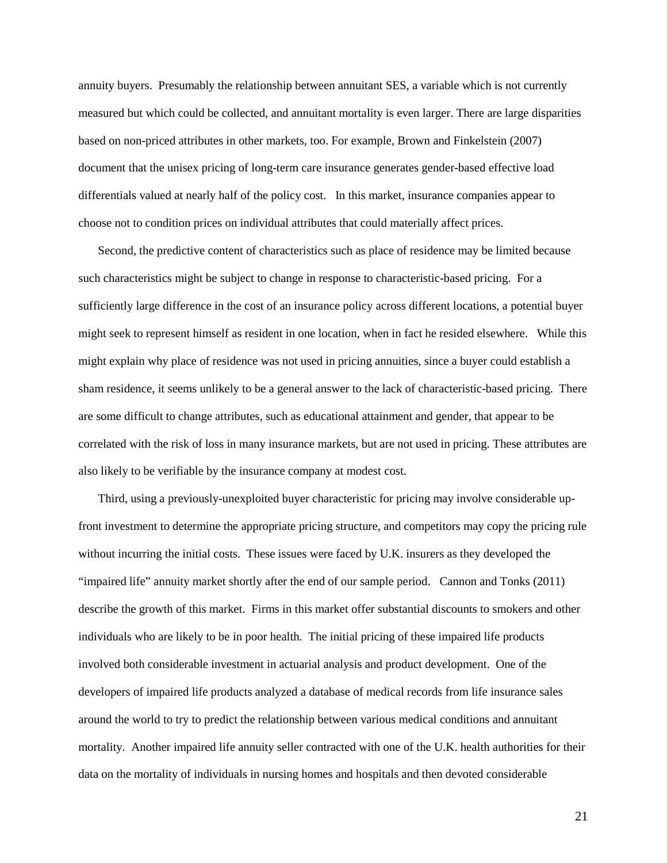annuity buyers. Presumably the relationship between annuitant SES, a variable which is not currently measured but which could be collected, and annuitant mortality is even larger. There are large disparities based on non-priced attributes in other markets, too. For example, Brown and Finkelstein (2007) document that the unisex pricing of long-term care insurance generates gender-based effective load differentials valued at nearly half of the policy cost. In this market, insurance companies appear to choose not to condition prices on individual attributes that could materially affect prices.

Second, the predictive content of characteristics such as place of residence may be limited because such characteristics might be subject to change in response to characteristic-based pricing. For a sufficiently large difference in the cost of an insurance policy across different locations, a potential buyer might seek to represent himself as resident in one location, when in fact he resided elsewhere. While this might explain why place of residence was not used in pricing annuities, since a buyer could establish a sham residence, it seems unlikely to be a general answer to the lack of characteristic-based pricing. There are some difficult to change attributes, such as educational attainment and gender, that appear to be correlated with the risk of loss in many insurance markets, but are not used in pricing. These attributes are also likely to be verifiable by the insurance company at modest cost.

Third, using a previously-unexploited buyer characteristic for pricing may involve considerable upfront investment to determine the appropriate pricing structure, and competitors may copy the pricing rule without incurring the initial costs. These issues were faced by U.K. insurers as they developed the "impaired life" annuity market shortly after the end of our sample period. Cannon and Tonks (2011) describe the growth of this market. Firms in this market offer substantial discounts to smokers and other individuals who are likely to be in poor health. The initial pricing of these impaired life products involved both considerable investment in actuarial analysis and product development. One of the developers of impaired life products analyzed a database of medical records from life insurance sales around the world to try to predict the relationship between various medical conditions and annuitant mortality. Another impaired life annuity seller contracted with one of the U.K. health authorities for their data on the mortality of individuals in nursing homes and hospitals and then devoted considerable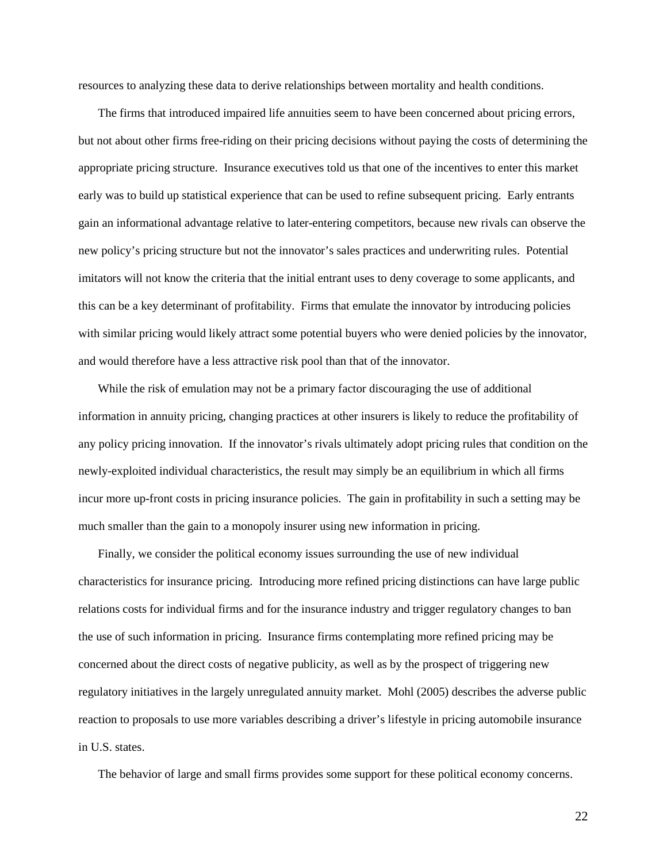resources to analyzing these data to derive relationships between mortality and health conditions.

The firms that introduced impaired life annuities seem to have been concerned about pricing errors, but not about other firms free-riding on their pricing decisions without paying the costs of determining the appropriate pricing structure. Insurance executives told us that one of the incentives to enter this market early was to build up statistical experience that can be used to refine subsequent pricing. Early entrants gain an informational advantage relative to later-entering competitors, because new rivals can observe the new policy's pricing structure but not the innovator's sales practices and underwriting rules. Potential imitators will not know the criteria that the initial entrant uses to deny coverage to some applicants, and this can be a key determinant of profitability. Firms that emulate the innovator by introducing policies with similar pricing would likely attract some potential buyers who were denied policies by the innovator, and would therefore have a less attractive risk pool than that of the innovator.

While the risk of emulation may not be a primary factor discouraging the use of additional information in annuity pricing, changing practices at other insurers is likely to reduce the profitability of any policy pricing innovation. If the innovator's rivals ultimately adopt pricing rules that condition on the newly-exploited individual characteristics, the result may simply be an equilibrium in which all firms incur more up-front costs in pricing insurance policies. The gain in profitability in such a setting may be much smaller than the gain to a monopoly insurer using new information in pricing.

Finally, we consider the political economy issues surrounding the use of new individual characteristics for insurance pricing. Introducing more refined pricing distinctions can have large public relations costs for individual firms and for the insurance industry and trigger regulatory changes to ban the use of such information in pricing. Insurance firms contemplating more refined pricing may be concerned about the direct costs of negative publicity, as well as by the prospect of triggering new regulatory initiatives in the largely unregulated annuity market. Mohl (2005) describes the adverse public reaction to proposals to use more variables describing a driver's lifestyle in pricing automobile insurance in U.S. states.

The behavior of large and small firms provides some support for these political economy concerns.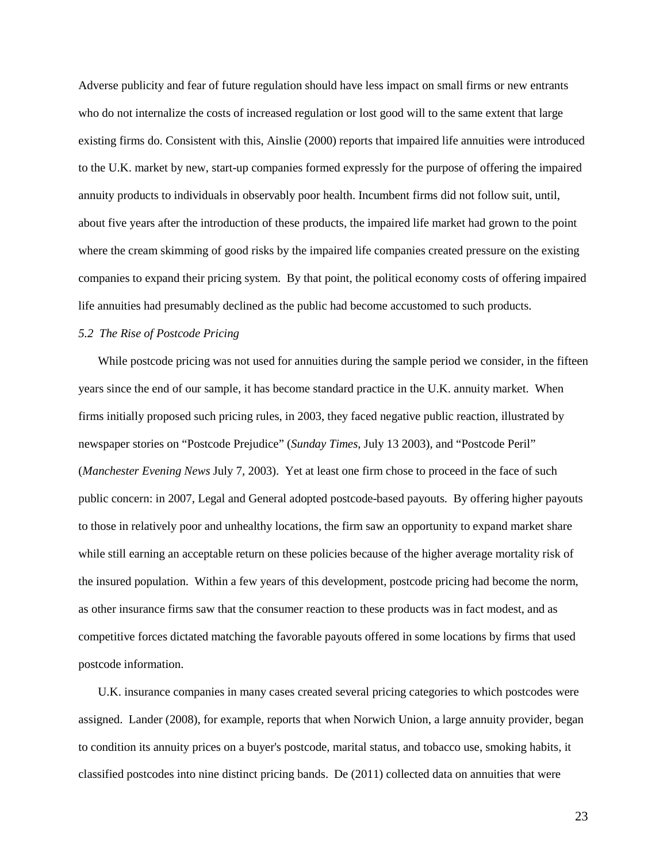Adverse publicity and fear of future regulation should have less impact on small firms or new entrants who do not internalize the costs of increased regulation or lost good will to the same extent that large existing firms do. Consistent with this, Ainslie (2000) reports that impaired life annuities were introduced to the U.K. market by new, start-up companies formed expressly for the purpose of offering the impaired annuity products to individuals in observably poor health. Incumbent firms did not follow suit, until, about five years after the introduction of these products, the impaired life market had grown to the point where the cream skimming of good risks by the impaired life companies created pressure on the existing companies to expand their pricing system. By that point, the political economy costs of offering impaired life annuities had presumably declined as the public had become accustomed to such products.

## *5.2 The Rise of Postcode Pricing*

While postcode pricing was not used for annuities during the sample period we consider, in the fifteen years since the end of our sample, it has become standard practice in the U.K. annuity market. When firms initially proposed such pricing rules, in 2003, they faced negative public reaction, illustrated by newspaper stories on "Postcode Prejudice" (*Sunday Times*, July 13 2003), and "Postcode Peril" (*Manchester Evening News* July 7, 2003). Yet at least one firm chose to proceed in the face of such public concern: in 2007, Legal and General adopted postcode-based payouts. By offering higher payouts to those in relatively poor and unhealthy locations, the firm saw an opportunity to expand market share while still earning an acceptable return on these policies because of the higher average mortality risk of the insured population. Within a few years of this development, postcode pricing had become the norm, as other insurance firms saw that the consumer reaction to these products was in fact modest, and as competitive forces dictated matching the favorable payouts offered in some locations by firms that used postcode information.

U.K. insurance companies in many cases created several pricing categories to which postcodes were assigned. Lander (2008), for example, reports that when Norwich Union, a large annuity provider, began to condition its annuity prices on a buyer's postcode, marital status, and tobacco use, smoking habits, it classified postcodes into nine distinct pricing bands. De (2011) collected data on annuities that were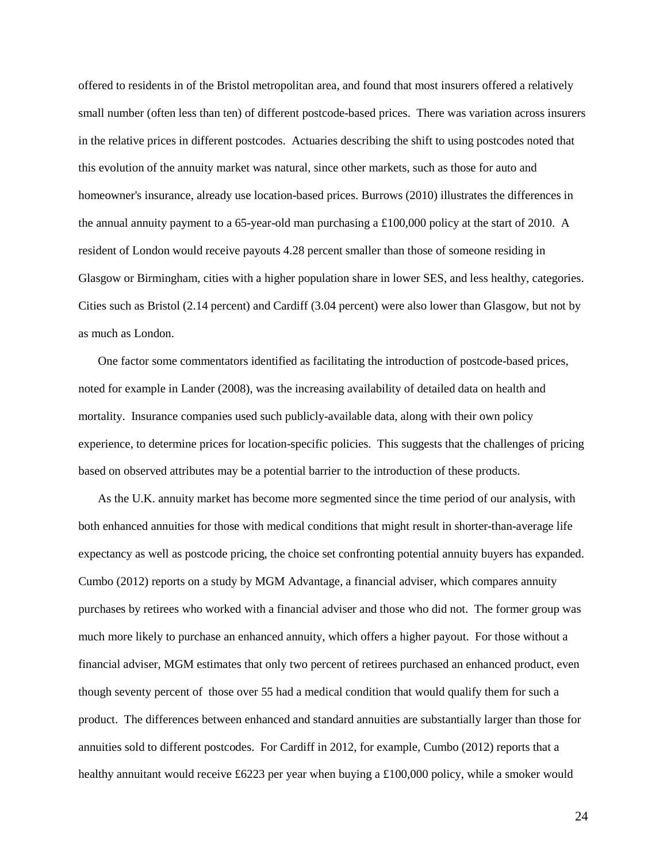offered to residents in of the Bristol metropolitan area, and found that most insurers offered a relatively small number (often less than ten) of different postcode-based prices. There was variation across insurers in the relative prices in different postcodes. Actuaries describing the shift to using postcodes noted that this evolution of the annuity market was natural, since other markets, such as those for auto and homeowner's insurance, already use location-based prices. Burrows (2010) illustrates the differences in the annual annuity payment to a 65-year-old man purchasing a £100,000 policy at the start of 2010. A resident of London would receive payouts 4.28 percent smaller than those of someone residing in Glasgow or Birmingham, cities with a higher population share in lower SES, and less healthy, categories. Cities such as Bristol (2.14 percent) and Cardiff (3.04 percent) were also lower than Glasgow, but not by as much as London.

One factor some commentators identified as facilitating the introduction of postcode-based prices, noted for example in Lander (2008), was the increasing availability of detailed data on health and mortality. Insurance companies used such publicly-available data, along with their own policy experience, to determine prices for location-specific policies. This suggests that the challenges of pricing based on observed attributes may be a potential barrier to the introduction of these products.

As the U.K. annuity market has become more segmented since the time period of our analysis, with both enhanced annuities for those with medical conditions that might result in shorter-than-average life expectancy as well as postcode pricing, the choice set confronting potential annuity buyers has expanded. Cumbo (2012) reports on a study by MGM Advantage, a financial adviser, which compares annuity purchases by retirees who worked with a financial adviser and those who did not. The former group was much more likely to purchase an enhanced annuity, which offers a higher payout. For those without a financial adviser, MGM estimates that only two percent of retirees purchased an enhanced product, even though seventy percent of those over 55 had a medical condition that would qualify them for such a product. The differences between enhanced and standard annuities are substantially larger than those for annuities sold to different postcodes. For Cardiff in 2012, for example, Cumbo (2012) reports that a healthy annuitant would receive £6223 per year when buying a £100,000 policy, while a smoker would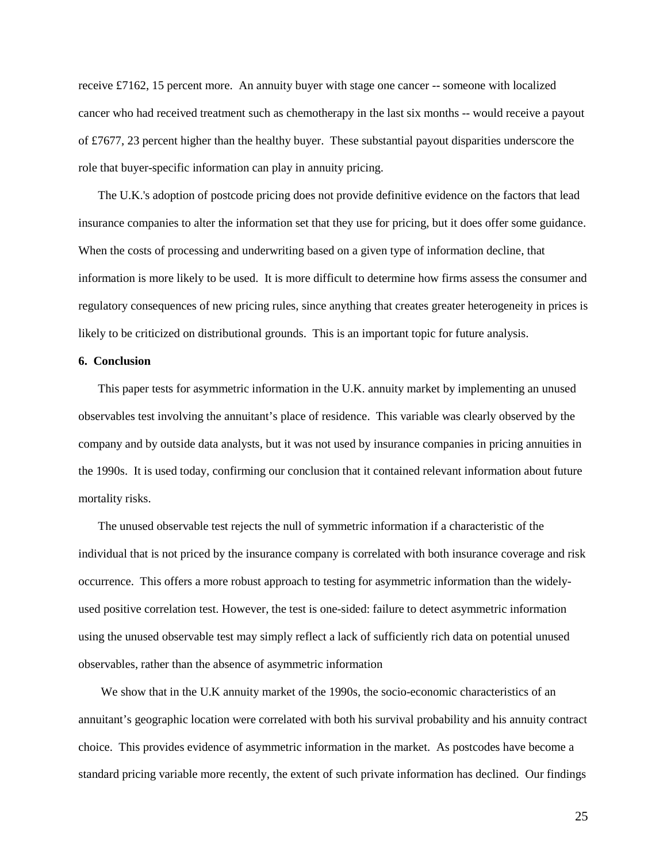receive £7162, 15 percent more. An annuity buyer with stage one cancer -- someone with localized cancer who had received treatment such as chemotherapy in the last six months -- would receive a payout of £7677, 23 percent higher than the healthy buyer. These substantial payout disparities underscore the role that buyer-specific information can play in annuity pricing.

The U.K.'s adoption of postcode pricing does not provide definitive evidence on the factors that lead insurance companies to alter the information set that they use for pricing, but it does offer some guidance. When the costs of processing and underwriting based on a given type of information decline, that information is more likely to be used. It is more difficult to determine how firms assess the consumer and regulatory consequences of new pricing rules, since anything that creates greater heterogeneity in prices is likely to be criticized on distributional grounds. This is an important topic for future analysis.

## **6. Conclusion**

This paper tests for asymmetric information in the U.K. annuity market by implementing an unused observables test involving the annuitant's place of residence. This variable was clearly observed by the company and by outside data analysts, but it was not used by insurance companies in pricing annuities in the 1990s. It is used today, confirming our conclusion that it contained relevant information about future mortality risks.

The unused observable test rejects the null of symmetric information if a characteristic of the individual that is not priced by the insurance company is correlated with both insurance coverage and risk occurrence. This offers a more robust approach to testing for asymmetric information than the widelyused positive correlation test. However, the test is one-sided: failure to detect asymmetric information using the unused observable test may simply reflect a lack of sufficiently rich data on potential unused observables, rather than the absence of asymmetric information

We show that in the U.K annuity market of the 1990s, the socio-economic characteristics of an annuitant's geographic location were correlated with both his survival probability and his annuity contract choice. This provides evidence of asymmetric information in the market. As postcodes have become a standard pricing variable more recently, the extent of such private information has declined. Our findings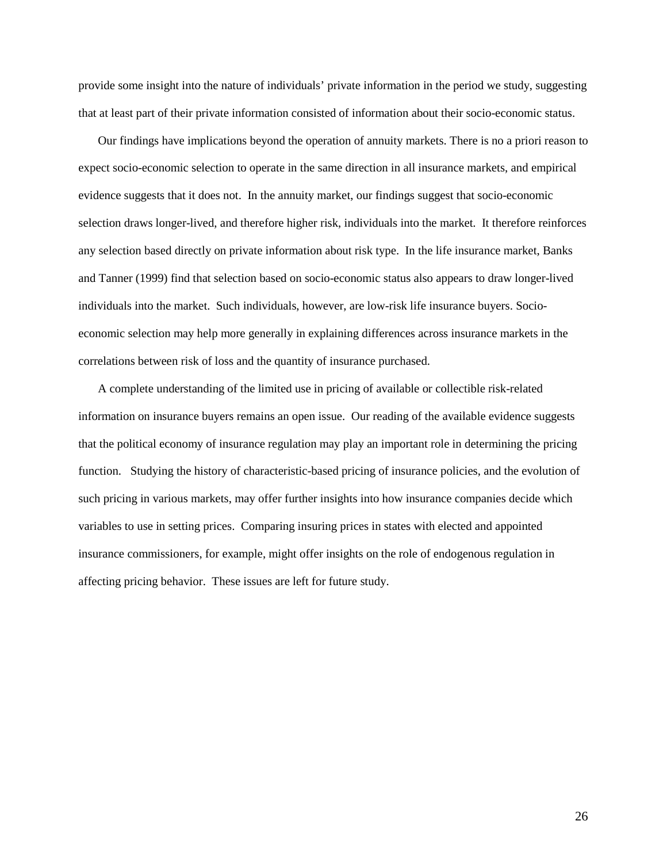provide some insight into the nature of individuals' private information in the period we study, suggesting that at least part of their private information consisted of information about their socio-economic status.

Our findings have implications beyond the operation of annuity markets. There is no a priori reason to expect socio-economic selection to operate in the same direction in all insurance markets, and empirical evidence suggests that it does not. In the annuity market, our findings suggest that socio-economic selection draws longer-lived, and therefore higher risk, individuals into the market. It therefore reinforces any selection based directly on private information about risk type. In the life insurance market, Banks and Tanner (1999) find that selection based on socio-economic status also appears to draw longer-lived individuals into the market. Such individuals, however, are low-risk life insurance buyers. Socioeconomic selection may help more generally in explaining differences across insurance markets in the correlations between risk of loss and the quantity of insurance purchased.

A complete understanding of the limited use in pricing of available or collectible risk-related information on insurance buyers remains an open issue. Our reading of the available evidence suggests that the political economy of insurance regulation may play an important role in determining the pricing function. Studying the history of characteristic-based pricing of insurance policies, and the evolution of such pricing in various markets, may offer further insights into how insurance companies decide which variables to use in setting prices. Comparing insuring prices in states with elected and appointed insurance commissioners, for example, might offer insights on the role of endogenous regulation in affecting pricing behavior. These issues are left for future study.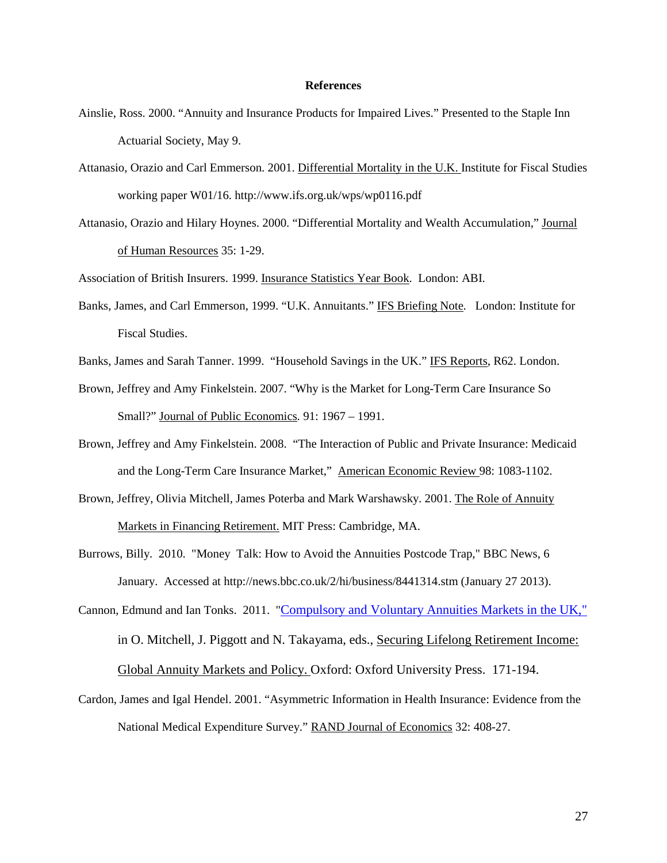#### **References**

- Ainslie, Ross. 2000. "Annuity and Insurance Products for Impaired Lives." Presented to the Staple Inn Actuarial Society, May 9.
- Attanasio, Orazio and Carl Emmerson. 2001. Differential Mortality in the U.K. Institute for Fiscal Studies working paper W01/16. http://www.ifs.org.uk/wps/wp0116.pdf
- Attanasio, Orazio and Hilary Hoynes. 2000. "Differential Mortality and Wealth Accumulation," Journal of Human Resources 35: 1-29.

Association of British Insurers. 1999. Insurance Statistics Year Book. London: ABI.

- Banks, James, and Carl Emmerson, 1999. "U.K. Annuitants." IFS Briefing Note*.* London: Institute for Fiscal Studies.
- Banks, James and Sarah Tanner. 1999. "Household Savings in the UK." IFS Reports, R62. London.
- Brown, Jeffrey and Amy Finkelstein. 2007. "Why is the Market for Long-Term Care Insurance So Small?" Journal of Public Economics*.* 91: 1967 – 1991.
- Brown, Jeffrey and Amy Finkelstein. 2008. "The Interaction of Public and Private Insurance: Medicaid and the Long-Term Care Insurance Market," American Economic Review 98: 1083-1102.
- Brown, Jeffrey, Olivia Mitchell, James Poterba and Mark Warshawsky. 2001. The Role of Annuity Markets in Financing Retirement. MIT Press: Cambridge, MA.
- Burrows, Billy. 2010. "Money Talk: How to Avoid the Annuities Postcode Trap," BBC News, 6 January. Accessed at http://news.bbc.co.uk/2/hi/business/8441314.stm (January 27 2013).
- Cannon, Edmund and Ian Tonks. 2011. ["Compulsory and Voluntary Annuities Markets in the UK,"](http://ukcatalogue.oup.com/product/9780199594849.do) in O. Mitchell, J. Piggott and N. Takayama, eds., Securing Lifelong Retirement Income: Global Annuity Markets and Policy. Oxford: Oxford University Press. 171-194.
- Cardon, James and Igal Hendel. 2001. "Asymmetric Information in Health Insurance: Evidence from the National Medical Expenditure Survey." RAND Journal of Economics 32: 408-27.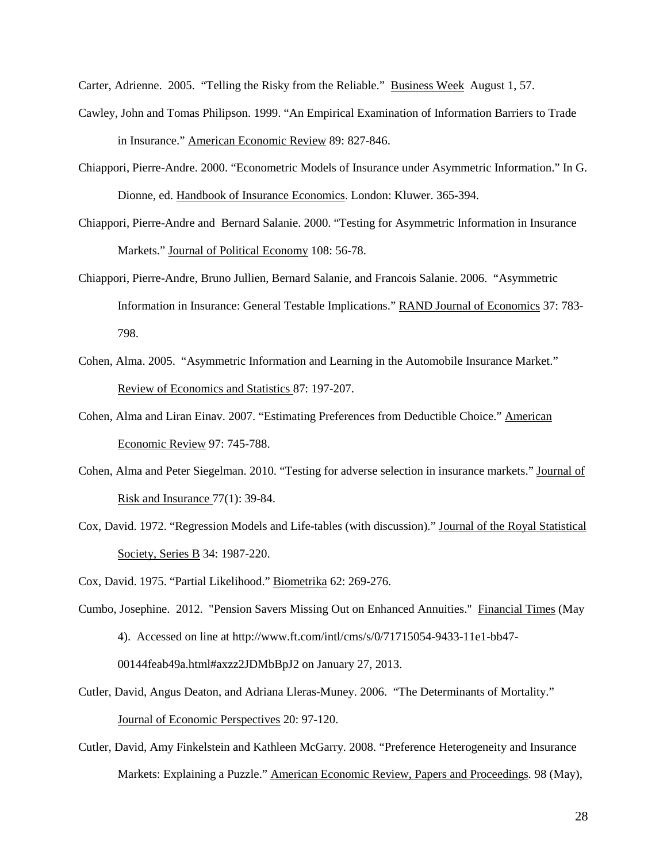Carter, Adrienne. 2005. "Telling the Risky from the Reliable." Business Week August 1, 57.

- Cawley, John and Tomas Philipson. 1999. "An Empirical Examination of Information Barriers to Trade in Insurance." American Economic Review 89: 827-846.
- Chiappori, Pierre-Andre. 2000. "Econometric Models of Insurance under Asymmetric Information." In G. Dionne, ed. Handbook of Insurance Economics. London: Kluwer. 365-394.
- Chiappori, Pierre-Andre and Bernard Salanie. 2000. "Testing for Asymmetric Information in Insurance Markets." Journal of Political Economy 108: 56-78.
- Chiappori, Pierre-Andre, Bruno Jullien, Bernard Salanie, and Francois Salanie. 2006. "Asymmetric Information in Insurance: General Testable Implications." RAND Journal of Economics 37: 783- 798.
- Cohen, Alma. 2005. "Asymmetric Information and Learning in the Automobile Insurance Market." Review of Economics and Statistics 87: 197-207.
- Cohen, Alma and Liran Einav. 2007. "Estimating Preferences from Deductible Choice." American Economic Review 97: 745-788.
- Cohen, Alma and Peter Siegelman. 2010. "Testing for adverse selection in insurance markets." Journal of Risk and Insurance 77(1): 39-84.
- Cox, David. 1972. "Regression Models and Life-tables (with discussion)." Journal of the Royal Statistical Society, Series B 34: 1987-220.
- Cox, David. 1975. "Partial Likelihood." Biometrika 62: 269-276.
- Cumbo, Josephine. 2012. "Pension Savers Missing Out on Enhanced Annuities." Financial Times (May 4). Accessed on line at http://www.ft.com/intl/cms/s/0/71715054-9433-11e1-bb47- 00144feab49a.html#axzz2JDMbBpJ2 on January 27, 2013.
- Cutler, David, Angus Deaton, and Adriana Lleras-Muney. 2006. "The Determinants of Mortality." Journal of Economic Perspectives 20: 97-120.
- Cutler, David, Amy Finkelstein and Kathleen McGarry. 2008. "Preference Heterogeneity and Insurance Markets: Explaining a Puzzle." American Economic Review, Papers and Proceedings*.* 98 (May),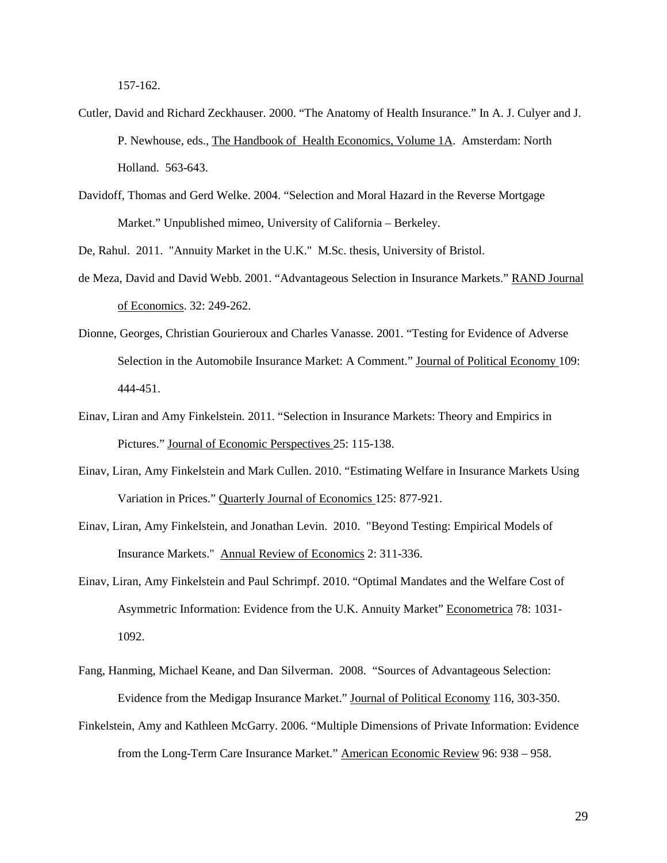157-162.

- Cutler, David and Richard Zeckhauser. 2000. "The Anatomy of Health Insurance." In A. J. Culyer and J. P. Newhouse, eds., The Handbook of Health Economics, Volume 1A. Amsterdam: North Holland. 563-643.
- Davidoff, Thomas and Gerd Welke. 2004. "Selection and Moral Hazard in the Reverse Mortgage Market." Unpublished mimeo, University of California – Berkeley.

De, Rahul. 2011. "Annuity Market in the U.K." M.Sc. thesis, University of Bristol.

- de Meza, David and David Webb. 2001. "Advantageous Selection in Insurance Markets." RAND Journal of Economics. 32: 249-262.
- Dionne, Georges, Christian Gourieroux and Charles Vanasse. 2001. "Testing for Evidence of Adverse Selection in the Automobile Insurance Market: A Comment." Journal of Political Economy 109: 444-451.
- Einav, Liran and Amy Finkelstein. 2011. "Selection in Insurance Markets: Theory and Empirics in Pictures." Journal of Economic Perspectives 25: 115-138.
- Einav, Liran, Amy Finkelstein and Mark Cullen. 2010. "Estimating Welfare in Insurance Markets Using Variation in Prices." Quarterly Journal of Economics 125: 877-921.
- Einav, Liran, Amy Finkelstein, and Jonathan Levin. 2010. "Beyond Testing: Empirical Models of Insurance Markets." Annual Review of Economics 2: 311-336.
- Einav, Liran, Amy Finkelstein and Paul Schrimpf. 2010. "Optimal Mandates and the Welfare Cost of Asymmetric Information: Evidence from the U.K. Annuity Market" Econometrica 78: 1031- 1092.
- Fang, Hanming, Michael Keane, and Dan Silverman. 2008. "Sources of Advantageous Selection: Evidence from the Medigap Insurance Market." Journal of Political Economy 116, 303-350.
- Finkelstein, Amy and Kathleen McGarry. 2006. "Multiple Dimensions of Private Information: Evidence from the Long-Term Care Insurance Market." American Economic Review 96: 938 – 958.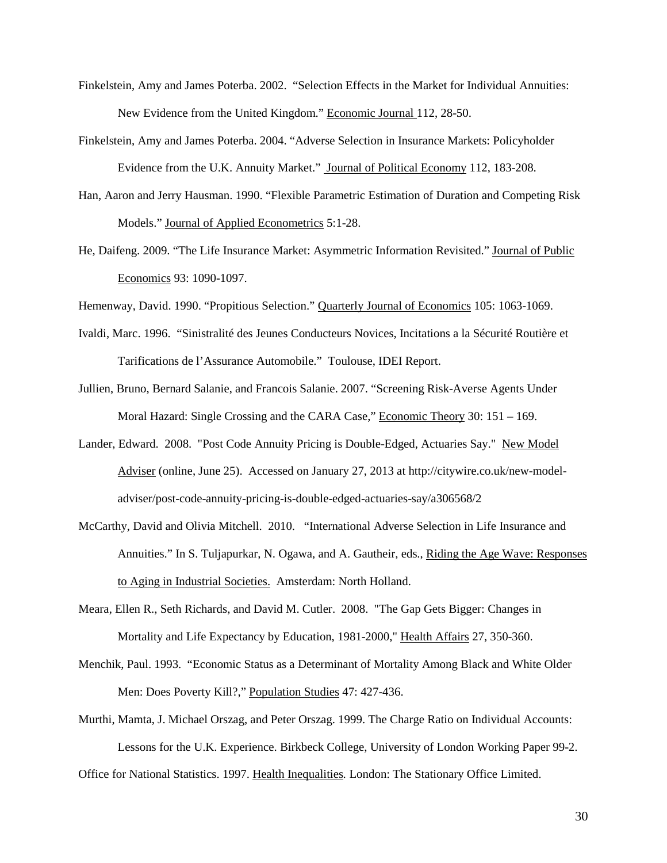- Finkelstein, Amy and James Poterba. 2002. "Selection Effects in the Market for Individual Annuities: New Evidence from the United Kingdom." Economic Journal 112, 28-50.
- Finkelstein, Amy and James Poterba. 2004. "Adverse Selection in Insurance Markets: Policyholder Evidence from the U.K. Annuity Market." Journal of Political Economy 112, 183-208.
- Han, Aaron and Jerry Hausman. 1990. "Flexible Parametric Estimation of Duration and Competing Risk Models." Journal of Applied Econometrics 5:1-28.
- He, Daifeng. 2009. "The Life Insurance Market: Asymmetric Information Revisited." Journal of Public Economics 93: 1090-1097.

Hemenway, David. 1990. "Propitious Selection." Quarterly Journal of Economics 105: 1063-1069.

- Ivaldi, Marc. 1996. "Sinistralité des Jeunes Conducteurs Novices, Incitations a la Sécurité Routière et Tarifications de l'Assurance Automobile." Toulouse, IDEI Report.
- Jullien, Bruno, Bernard Salanie, and Francois Salanie. 2007. "Screening Risk-Averse Agents Under Moral Hazard: Single Crossing and the CARA Case," Economic Theory 30: 151 – 169.
- Lander, Edward. 2008. "Post Code Annuity Pricing is Double-Edged, Actuaries Say." New Model Adviser (online, June 25). Accessed on January 27, 2013 at http://citywire.co.uk/new-modeladviser/post-code-annuity-pricing-is-double-edged-actuaries-say/a306568/2
- McCarthy, David and Olivia Mitchell. 2010. "International Adverse Selection in Life Insurance and Annuities." In S. Tuljapurkar, N. Ogawa, and A. Gautheir, eds., Riding the Age Wave: Responses to Aging in Industrial Societies. Amsterdam: North Holland.
- Meara, Ellen R., Seth Richards, and David M. Cutler. 2008. "The Gap Gets Bigger: Changes in Mortality and Life Expectancy by Education, 1981-2000," Health Affairs 27, 350-360.
- Menchik, Paul. 1993. "Economic Status as a Determinant of Mortality Among Black and White Older Men: Does Poverty Kill?," Population Studies 47: 427-436.
- Murthi, Mamta, J. Michael Orszag, and Peter Orszag. 1999. The Charge Ratio on Individual Accounts: Lessons for the U.K. Experience. Birkbeck College, University of London Working Paper 99-2. Office for National Statistics. 1997. Health Inequalities*.* London: The Stationary Office Limited.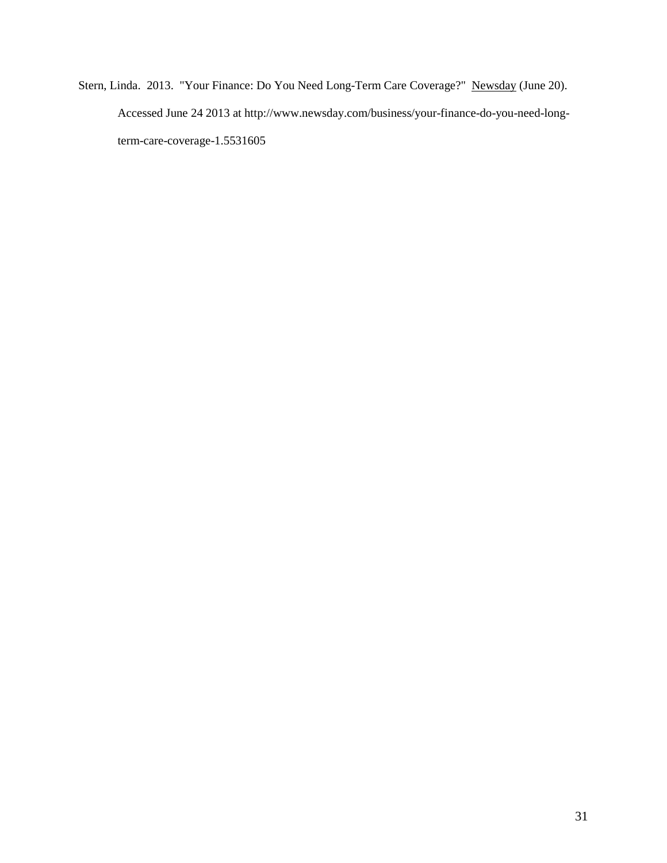Stern, Linda. 2013. "Your Finance: Do You Need Long-Term Care Coverage?" Newsday (June 20). Accessed June 24 2013 at http://www.newsday.com/business/your-finance-do-you-need-longterm-care-coverage-1.5531605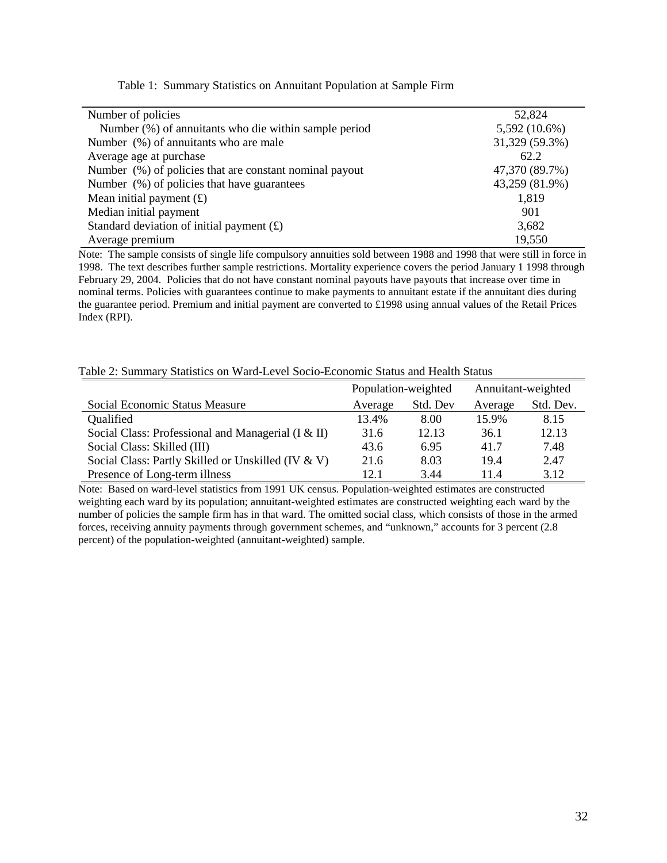Table 1: Summary Statistics on Annuitant Population at Sample Firm

| Number of policies                                      | 52,824         |
|---------------------------------------------------------|----------------|
| Number (%) of annuitants who die within sample period   | 5,592 (10.6%)  |
| Number (%) of annuitants who are male                   | 31,329 (59.3%) |
| Average age at purchase                                 | 62.2           |
| Number (%) of policies that are constant nominal payout | 47,370 (89.7%) |
| Number (%) of policies that have guarantees             | 43,259 (81.9%) |
| Mean initial payment $(E)$                              | 1,819          |
| Median initial payment                                  | 901            |
| Standard deviation of initial payment $(E)$             | 3,682          |
| Average premium                                         | 19,550         |

Note: The sample consists of single life compulsory annuities sold between 1988 and 1998 that were still in force in 1998. The text describes further sample restrictions. Mortality experience covers the period January 1 1998 through February 29, 2004. Policies that do not have constant nominal payouts have payouts that increase over time in nominal terms. Policies with guarantees continue to make payments to annuitant estate if the annuitant dies during the guarantee period. Premium and initial payment are converted to £1998 using annual values of the Retail Prices Index (RPI).

|  | Table 2: Summary Statistics on Ward-Level Socio-Economic Status and Health Status |  |
|--|-----------------------------------------------------------------------------------|--|
|--|-----------------------------------------------------------------------------------|--|

|                                                    | Population-weighted |          | Annuitant-weighted |           |
|----------------------------------------------------|---------------------|----------|--------------------|-----------|
| Social Economic Status Measure                     | Average             | Std. Dev | Average            | Std. Dev. |
| Qualified                                          | 13.4%               | 8.00     | 15.9%              | 8.15      |
| Social Class: Professional and Managerial (I & II) | 31.6                | 12.13    | 36.1               | 12.13     |
| Social Class: Skilled (III)                        | 43.6                | 6.95     | 41.7               | 7.48      |
| Social Class: Partly Skilled or Unskilled (IV & V) | 21.6                | 8.03     | 19.4               | 2.47      |
| Presence of Long-term illness                      | 12.1                | 3.44     | 114                | 3.12      |

Note: Based on ward-level statistics from 1991 UK census. Population-weighted estimates are constructed weighting each ward by its population; annuitant-weighted estimates are constructed weighting each ward by the number of policies the sample firm has in that ward. The omitted social class, which consists of those in the armed forces, receiving annuity payments through government schemes, and "unknown," accounts for 3 percent (2.8 percent) of the population-weighted (annuitant-weighted) sample.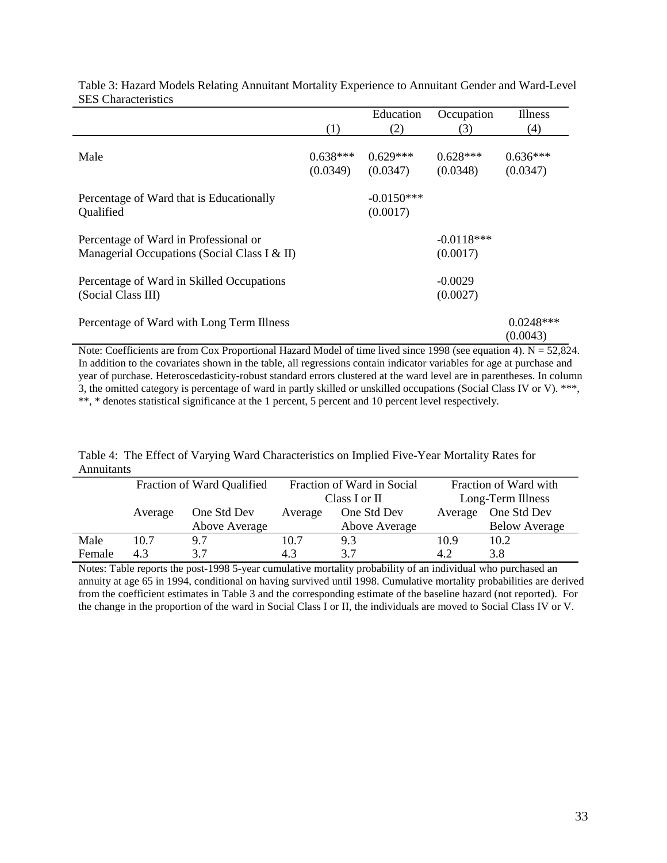|                                                                                           |                        | Education                  | Occupation               | Illness                                            |
|-------------------------------------------------------------------------------------------|------------------------|----------------------------|--------------------------|----------------------------------------------------|
|                                                                                           | (1)                    | (2)                        | (3)                      | (4)                                                |
| Male                                                                                      | $0.638***$<br>(0.0349) | $0.629***$<br>(0.0347)     | $0.628***$<br>(0.0348)   | $0.636***$<br>(0.0347)                             |
| Percentage of Ward that is Educationally<br>Qualified                                     |                        | $-0.0150***$<br>(0.0017)   |                          |                                                    |
| Percentage of Ward in Professional or<br>Managerial Occupations (Social Class I & II)     |                        |                            | $-0.0118***$<br>(0.0017) |                                                    |
| Percentage of Ward in Skilled Occupations<br>(Social Class III)                           |                        |                            | $-0.0029$<br>(0.0027)    |                                                    |
| Percentage of Ward with Long Term Illness<br>$\sim$<br>$\mathbf{X}$<br>$\sqrt{ }$<br>1.77 | 1.1.7.1.7.7.7          | $\sim$ $\sim$<br>$\bullet$ | 1000<                    | $0.0248***$<br>(0.0043)<br>$\sim$ 00<br>$\sqrt{1}$ |

Table 3: Hazard Models Relating Annuitant Mortality Experience to Annuitant Gender and Ward-Level SES Characteristics

Note: Coefficients are from Cox Proportional Hazard Model of time lived since 1998 (see equation 4).  $N = 52,824$ . In addition to the covariates shown in the table, all regressions contain indicator variables for age at purchase and year of purchase. Heteroscedasticity-robust standard errors clustered at the ward level are in parentheses. In column 3, the omitted category is percentage of ward in partly skilled or unskilled occupations (Social Class IV or V). \*\*\*, \*\*, \* denotes statistical significance at the 1 percent, 5 percent and 10 percent level respectively.

|            |  | Table 4: The Effect of Varying Ward Characteristics on Implied Five-Year Mortality Rates for |  |  |
|------------|--|----------------------------------------------------------------------------------------------|--|--|
| Annuitants |  |                                                                                              |  |  |

|        |         | Fraction of Ward Qualified   |         | Fraction of Ward in Social<br>Class I or II |         | Fraction of Ward with<br>Long-Term Illness |
|--------|---------|------------------------------|---------|---------------------------------------------|---------|--------------------------------------------|
|        | Average | One Std Dev<br>Above Average | Average | One Std Dev<br>Above Average                | Average | One Std Dev<br><b>Below Average</b>        |
| Male   | 10.7    | 9.7                          | 10.7    | 9.3                                         | 10.9    | 10.2                                       |
| Female | 4.3     | 3.7                          | 4.3     | 3.7                                         |         | 3.8                                        |

Notes: Table reports the post-1998 5-year cumulative mortality probability of an individual who purchased an annuity at age 65 in 1994, conditional on having survived until 1998. Cumulative mortality probabilities are derived from the coefficient estimates in Table 3 and the corresponding estimate of the baseline hazard (not reported). For the change in the proportion of the ward in Social Class I or II, the individuals are moved to Social Class IV or V.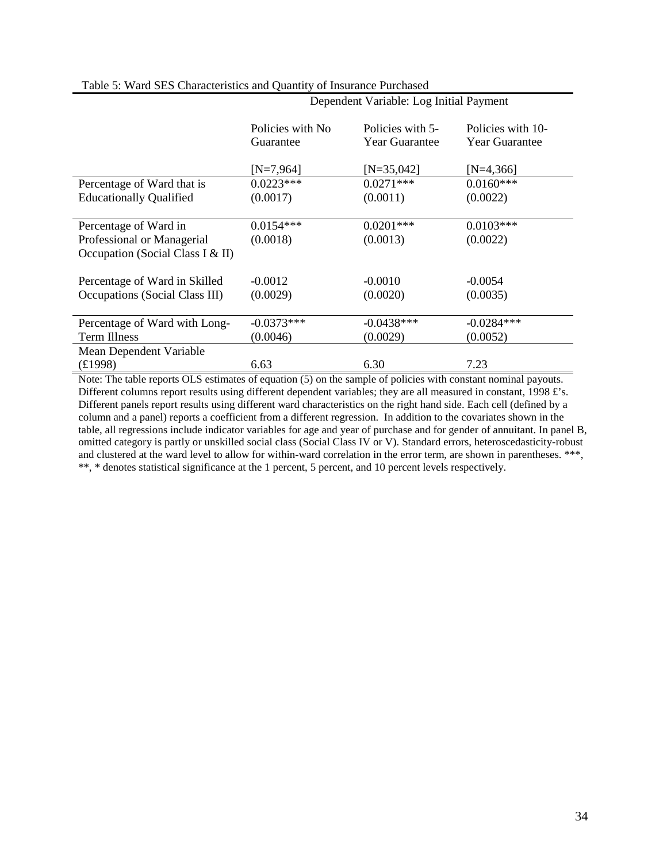|                                  | Policies with No<br>Guarantee | Policies with 5-<br><b>Year Guarantee</b> | Policies with 10-<br><b>Year Guarantee</b> |
|----------------------------------|-------------------------------|-------------------------------------------|--------------------------------------------|
|                                  | [N=7,964]                     | $[N=35,042]$                              | $[N=4,366]$                                |
| Percentage of Ward that is       | $0.0223***$                   | $0.0271***$                               | $0.0160***$                                |
| <b>Educationally Qualified</b>   | (0.0017)                      | (0.0011)                                  | (0.0022)                                   |
|                                  |                               |                                           |                                            |
| Percentage of Ward in            | $0.0154***$                   | $0.0201***$                               | $0.0103***$                                |
| Professional or Managerial       | (0.0018)                      | (0.0013)                                  | (0.0022)                                   |
| Occupation (Social Class I & II) |                               |                                           |                                            |
|                                  |                               |                                           |                                            |
| Percentage of Ward in Skilled    | $-0.0012$                     | $-0.0010$                                 | $-0.0054$                                  |
| Occupations (Social Class III)   | (0.0029)                      | (0.0020)                                  | (0.0035)                                   |
|                                  |                               |                                           |                                            |
| Percentage of Ward with Long-    | $-0.0373***$                  | $-0.0438***$                              | $-0.0284***$                               |
| <b>Term Illness</b>              | (0.0046)                      | (0.0029)                                  | (0.0052)                                   |
| Mean Dependent Variable          |                               |                                           |                                            |
| (£1998)                          | 6.63                          | 6.30                                      | 7.23                                       |

Dependent Variable: Log Initial Payment

## Table 5: Ward SES Characteristics and Quantity of Insurance Purchased

Note: The table reports OLS estimates of equation (5) on the sample of policies with constant nominal payouts. Different columns report results using different dependent variables; they are all measured in constant, 1998  $\pounds$ 's. Different panels report results using different ward characteristics on the right hand side. Each cell (defined by a column and a panel) reports a coefficient from a different regression. In addition to the covariates shown in the table, all regressions include indicator variables for age and year of purchase and for gender of annuitant. In panel B, omitted category is partly or unskilled social class (Social Class IV or V). Standard errors, heteroscedasticity-robust and clustered at the ward level to allow for within-ward correlation in the error term, are shown in parentheses. \*\*\*, \*\*, \* denotes statistical significance at the 1 percent, 5 percent, and 10 percent levels respectively.